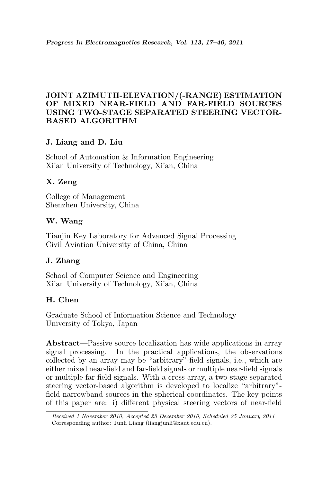# JOINT AZIMUTH-ELEVATION/(-RANGE) ESTIMATION OF MIXED NEAR-FIELD AND FAR-FIELD SOURCES USING TWO-STAGE SEPARATED STEERING VECTOR-BASED ALGORITHM

# J. Liang and D. Liu

School of Automation & Information Engineering Xi'an University of Technology, Xi'an, China

# X. Zeng

College of Management Shenzhen University, China

# W. Wang

Tianjin Key Laboratory for Advanced Signal Processing Civil Aviation University of China, China

# J. Zhang

School of Computer Science and Engineering Xi'an University of Technology, Xi'an, China

# H. Chen

Graduate School of Information Science and Technology University of Tokyo, Japan

Abstract—Passive source localization has wide applications in array signal processing. In the practical applications, the observations collected by an array may be "arbitrary"-field signals, i.e., which are either mixed near-field and far-field signals or multiple near-field signals or multiple far-field signals. With a cross array, a two-stage separated steering vector-based algorithm is developed to localize "arbitrary" field narrowband sources in the spherical coordinates. The key points of this paper are: i) different physical steering vectors of near-field

Received 1 November 2010, Accepted 23 December 2010, Scheduled 25 January 2011 Corresponding author: Junli Liang (liangjunli@xaut.edu.cn).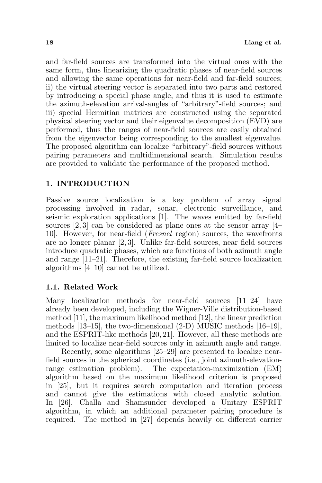and far-field sources are transformed into the virtual ones with the same form, thus linearizing the quadratic phases of near-field sources and allowing the same operations for near-field and far-field sources; ii) the virtual steering vector is separated into two parts and restored by introducing a special phase angle, and thus it is used to estimate the azimuth-elevation arrival-angles of "arbitrary"-field sources; and iii) special Hermitian matrices are constructed using the separated physical steering vector and their eigenvalue decomposition (EVD) are performed, thus the ranges of near-field sources are easily obtained from the eigenvector being corresponding to the smallest eigenvalue. The proposed algorithm can localize "arbitrary"-field sources without pairing parameters and multidimensional search. Simulation results are provided to validate the performance of the proposed method.

#### 1. INTRODUCTION

Passive source localization is a key problem of array signal processing involved in radar, sonar, electronic surveillance, and seismic exploration applications [1]. The waves emitted by far-field sources  $[2, 3]$  can be considered as plane ones at the sensor array  $[4-$ 10]. However, for near-field (Fresnel region) sources, the wavefronts are no longer planar [2, 3]. Unlike far-field sources, near field sources introduce quadratic phases, which are functions of both azimuth angle and range [11–21]. Therefore, the existing far-field source localization algorithms [4–10] cannot be utilized.

### 1.1. Related Work

Many localization methods for near-field sources [11–24] have already been developed, including the Wigner-Ville distribution-based method [11], the maximum likelihood method [12], the linear prediction methods [13–15], the two-dimensional (2-D) MUSIC methods [16–19], and the ESPRIT-like methods [20, 21]. However, all these methods are limited to localize near-field sources only in azimuth angle and range.

Recently, some algorithms [25–29] are presented to localize nearfield sources in the spherical coordinates (i.e., joint azimuth-elevationrange estimation problem). The expectation-maximization (EM) algorithm based on the maximum likelihood criterion is proposed in [25], but it requires search computation and iteration process and cannot give the estimations with closed analytic solution. In [26], Challa and Shamsunder developed a Unitary ESPRIT algorithm, in which an additional parameter pairing procedure is required. The method in [27] depends heavily on different carrier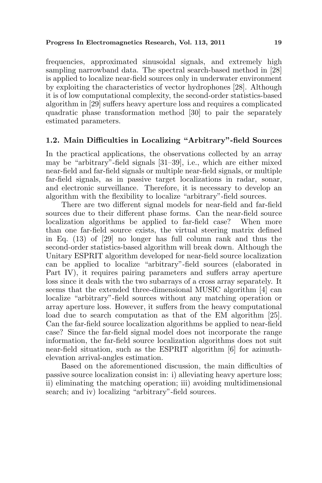frequencies, approximated sinusoidal signals, and extremely high sampling narrowband data. The spectral search-based method in [28] is applied to localize near-field sources only in underwater environment by exploiting the characteristics of vector hydrophones [28]. Although it is of low computational complexity, the second-order statistics-based algorithm in [29] suffers heavy aperture loss and requires a complicated quadratic phase transformation method [30] to pair the separately estimated parameters.

### 1.2. Main Difficulties in Localizing "Arbitrary"-field Sources

In the practical applications, the observations collected by an array may be "arbitrary"-field signals [31–39], i.e., which are either mixed near-field and far-field signals or multiple near-field signals, or multiple far-field signals, as in passive target localizations in radar, sonar, and electronic surveillance. Therefore, it is necessary to develop an algorithm with the flexibility to localize "arbitrary"-field sources.

There are two different signal models for near-field and far-field sources due to their different phase forms. Can the near-field source localization algorithms be applied to far-field case? When more than one far-field source exists, the virtual steering matrix defined in Eq. (13) of [29] no longer has full column rank and thus the second-order statistics-based algorithm will break down. Although the Unitary ESPRIT algorithm developed for near-field source localization can be applied to localize "arbitrary"-field sources (elaborated in Part IV), it requires pairing parameters and suffers array aperture loss since it deals with the two subarrays of a cross array separately. It seems that the extended three-dimensional MUSIC algorithm [4] can localize "arbitrary"-field sources without any matching operation or array aperture loss. However, it suffers from the heavy computational load due to search computation as that of the EM algorithm [25]. Can the far-field source localization algorithms be applied to near-field case? Since the far-field signal model does not incorporate the range information, the far-field source localization algorithms does not suit near-field situation, such as the ESPRIT algorithm [6] for azimuthelevation arrival-angles estimation.

Based on the aforementioned discussion, the main difficulties of passive source localization consist in: i) alleviating heavy aperture loss; ii) eliminating the matching operation; iii) avoiding multidimensional search; and iv) localizing "arbitrary"-field sources.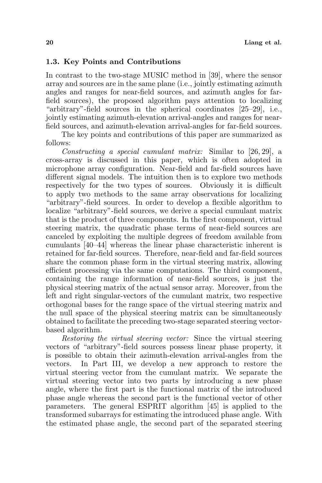### 1.3. Key Points and Contributions

In contrast to the two-stage MUSIC method in [39], where the sensor array and sources are in the same plane (i.e., jointly estimating azimuth angles and ranges for near-field sources, and azimuth angles for farfield sources), the proposed algorithm pays attention to localizing "arbitrary"-field sources in the spherical coordinates [25–29], i.e., jointly estimating azimuth-elevation arrival-angles and ranges for nearfield sources, and azimuth-elevation arrival-angles for far-field sources.

The key points and contributions of this paper are summarized as follows:

Constructing a special cumulant matrix: Similar to [26, 29], a cross-array is discussed in this paper, which is often adopted in microphone array configuration. Near-field and far-field sources have different signal models. The intuition then is to explore two methods respectively for the two types of sources. Obviously it is difficult to apply two methods to the same array observations for localizing "arbitrary"-field sources. In order to develop a flexible algorithm to localize "arbitrary"-field sources, we derive a special cumulant matrix that is the product of three components. In the first component, virtual steering matrix, the quadratic phase terms of near-field sources are canceled by exploiting the multiple degrees of freedom available from cumulants [40–44] whereas the linear phase characteristic inherent is retained for far-field sources. Therefore, near-field and far-field sources share the common phase form in the virtual steering matrix, allowing efficient processing via the same computations. The third component, containing the range information of near-field sources, is just the physical steering matrix of the actual sensor array. Moreover, from the left and right singular-vectors of the cumulant matrix, two respective orthogonal bases for the range space of the virtual steering matrix and the null space of the physical steering matrix can be simultaneously obtained to facilitate the preceding two-stage separated steering vectorbased algorithm.

Restoring the virtual steering vector: Since the virtual steering vectors of "arbitrary"-field sources possess linear phase property, it is possible to obtain their azimuth-elevation arrival-angles from the vectors. In Part III, we develop a new approach to restore the virtual steering vector from the cumulant matrix. We separate the virtual steering vector into two parts by introducing a new phase angle, where the first part is the functional matrix of the introduced phase angle whereas the second part is the functional vector of other parameters. The general ESPRIT algorithm [45] is applied to the transformed subarrays for estimating the introduced phase angle. With the estimated phase angle, the second part of the separated steering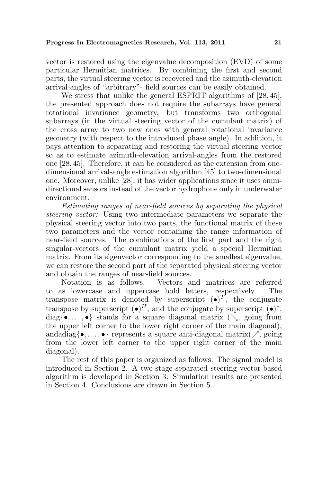vector is restored using the eigenvalue decomposition (EVD) of some particular Hermitian matrices. By combining the first and second parts, the virtual steering vector is recovered and the azimuth-elevation arrival-angles of "arbitrary"- field sources can be easily obtained.

We stress that unlike the general ESPRIT algorithms of [28, 45], the presented approach does not require the subarrays have general rotational invariance geometry, but transforms two orthogonal subarrays (in the virtual steering vector of the cumulant matrix) of the cross array to two new ones with general rotational invariance geometry (with respect to the introduced phase angle). In addition, it pays attention to separating and restoring the virtual steering vector so as to estimate azimuth-elevation arrival-angles from the restored one [28, 45]. Therefore, it can be considered as the extension from onedimensional arrival-angle estimation algorithm [45] to two-dimensional one. Moreover, unlike [28], it has wider applications since it uses omnidirectional sensors instead of the vector hydrophone only in underwater environment.

Estimating ranges of near-field sources by separating the physical steering vector: Using two intermediate parameters we separate the physical steering vector into two parts, the functional matrix of these two parameters and the vector containing the range information of near-field sources. The combinations of the first part and the right singular-vectors of the cumulant matrix yield a special Hermitian matrix. From its eigenvector corresponding to the smallest eigenvalue, we can restore the second part of the separated physical steering vector and obtain the ranges of near-field sources.

Notation is as follows. Vectors and matrices are referred to as lowercase and uppercase bold letters, respectively. The transpose matrix is denoted by superscript  $(\bullet)^T$ , the conjugate transpose by superscript  $(\bullet)^H$ , and the conjugate by superscript  $(\bullet)^*$ . diag{ $\bullet$ ,..., $\bullet$ } stands for a square diagonal matrix  $(\n\searrow)$  going from the upper left corner to the lower right corner of the main diagonal), andadiag{ $\bullet, \ldots, \bullet$ } represents a square anti-diagonal matrix( $\nearrow$ , going from the lower left corner to the upper right corner of the main diagonal).

The rest of this paper is organized as follows. The signal model is introduced in Section 2. A two-stage separated steering vector-based algorithm is developed in Section 3. Simulation results are presented in Section 4. Conclusions are drawn in Section 5.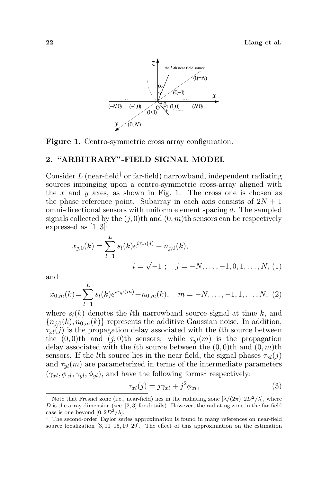22 Liang et al.



Figure 1. Centro-symmetric cross array configuration.

#### 2. "ARBITRARY"-FIELD SIGNAL MODEL

Consider  $L$  (near-field<sup>†</sup> or far-field) narrowband, independent radiating sources impinging upon a centro-symmetric cross-array aligned with the  $x$  and  $y$  axes, as shown in Fig. 1. The cross one is chosen as the phase reference point. Subarray in each axis consists of  $2N + 1$ omni-directional sensors with uniform element spacing d. The sampled signals collected by the  $(j, 0)$ th and  $(0, m)$ th sensors can be respectively expressed as [1–3]:

$$
x_{j,0}(k) = \sum_{l=1}^{L} s_l(k)e^{i\tau_{xl}(j)} + n_{j,0}(k),
$$
  

$$
i = \sqrt{-1}; \quad j = -N, \dots, -1, 0, 1, \dots, N, (1)
$$

and

$$
x_{0,m}(k) = \sum_{l=1}^{L} s_l(k) e^{i\tau_{yl}(m)} + n_{0,m}(k), \quad m = -N, \dots, -1, 1, \dots, N, (2)
$$

where  $s_l(k)$  denotes the lth narrowband source signal at time k, and  ${n_{i,0}(k), n_{0,m}(k)}$  represents the additive Gaussian noise. In addition,  $\tau_{xl}(j)$  is the propagation delay associated with the lth source between the  $(0, 0)$ th and  $(j, 0)$ th sensors; while  $\tau_{yl}(m)$  is the propagation delay associated with the *l*th source between the  $(0, 0)$ <sup>th</sup> and  $(0, m)$ <sup>th</sup> sensors. If the *l*th source lies in the near field, the signal phases  $\tau_{rl}(j)$ and  $\tau_{yl}(m)$  are parameterized in terms of the intermediate parameters  $(\gamma_{xl}, \phi_{xl}, \gamma_{yl}, \phi_{yl})$ , and have the following forms<sup>‡</sup> respectively:

$$
\tau_{xl}(j) = j\gamma_{xl} + j^2\phi_{xl},\tag{3}
$$

<sup>&</sup>lt;sup>†</sup> Note that Fresnel zone (i.e., near-field) lies in the radiating zone  $[\lambda/(2\pi), 2D^2/\lambda]$ , where  $D$  is the array dimension (see [2, 3] for details). However, the radiating zone in the far-field case is one beyond  $[0, 2D^2/\lambda]$ .

<sup>‡</sup> The second-order Taylor series approximation is found in many references on near-field source localization [3, 11–15, 19–29]. The effect of this approximation on the estimation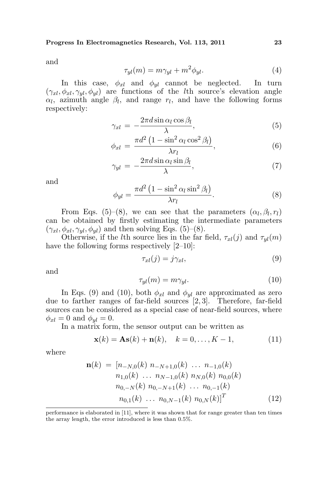and

$$
\tau_{yl}(m) = m\gamma_{yl} + m^2 \phi_{yl}.
$$
\n(4)

In this case,  $\phi_{xl}$  and  $\phi_{yl}$  cannot be neglected. In turn  $(\gamma_{xl}, \phi_{xl}, \gamma_{yl}, \phi_{yl})$  are functions of the *l*th source's elevation angle  $\alpha_l$ , azimuth angle  $\beta_l$ , and range  $r_l$ , and have the following forms respectively:

$$
\gamma_{xl} = -\frac{2\pi d \sin \alpha_l \cos \beta_l}{\lambda},\tag{5}
$$

$$
\phi_{xl} = \frac{\pi d^2 \left(1 - \sin^2 \alpha_l \cos^2 \beta_l\right)}{\lambda r_l},\tag{6}
$$

$$
\gamma_{yl} = -\frac{2\pi d \sin \alpha_l \sin \beta_l}{\lambda},\tag{7}
$$

and

$$
\phi_{yl} = \frac{\pi d^2 \left(1 - \sin^2 \alpha_l \sin^2 \beta_l\right)}{\lambda r_l}.
$$
\n(8)

From Eqs. (5)–(8), we can see that the parameters  $(\alpha_l, \beta_l, r_l)$ can be obtained by firstly estimating the intermediate parameters  $(\gamma_{xl}, \phi_{xl}, \gamma_{yl}, \phi_{yl})$  and then solving Eqs. (5)–(8).

Otherwise, if the *l*th source lies in the far field,  $\tau_{xl}(j)$  and  $\tau_{nl}(m)$ have the following forms respectively  $[2-10]$ :

$$
\tau_{xl}(j) = j\gamma_{xl},\tag{9}
$$

and

$$
\tau_{yl}(m) = m\gamma_{yl}.\tag{10}
$$

In Eqs. (9) and (10), both  $\phi_{xl}$  and  $\phi_{vl}$  are approximated as zero due to farther ranges of far-field sources [2, 3]. Therefore, far-field sources can be considered as a special case of near-field sources, where  $\phi_{xl} = 0$  and  $\phi_{yl} = 0$ .

In a matrix form, the sensor output can be written as

$$
\mathbf{x}(k) = \mathbf{A}\mathbf{s}(k) + \mathbf{n}(k), \quad k = 0, \dots, K - 1,
$$
 (11)

where

$$
\mathbf{n}(k) = [n_{-N,0}(k) n_{-N+1,0}(k) \dots n_{-1,0}(k) n_{N,0}(k) n_{0,0}(k) n_{1,0}(k) \dots n_{N-1,0}(k) n_{N,0}(k) n_{0,0}(k) n_{0,-N}(k) n_{0,-N+1}(k) \dots n_{0,-1}(k) n_{0,N}(k)]^T
$$
\n
$$
(12)
$$

performance is elaborated in [11], where it was shown that for range greater than ten times the array length, the error introduced is less than 0.5%.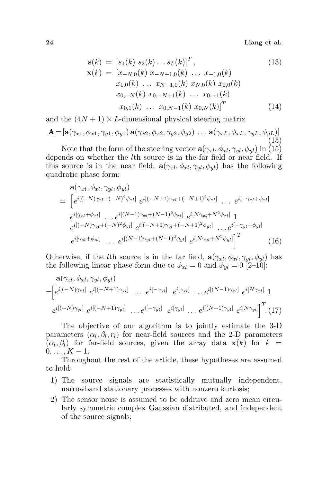24 Liang et al.

$$
\mathbf{s}(k) = [s_1(k) s_2(k) \dots s_L(k)]^T, \n\mathbf{x}(k) = [x_{-N,0}(k) x_{-N+1,0}(k) \dots x_{-1,0}(k) \n x_{1,0}(k) \dots x_{N-1,0}(k) x_{N,0}(k) x_{0,0}(k) \n x_{0,-N}(k) x_{0,-N+1}(k) \dots x_{0,-1}(k) \n x_{0,1}(k) \dots x_{0,N-1}(k) x_{0,N}(k)]^T
$$
\n(14)

and the  $(4N + 1) \times L$ -dimensional physical steering matrix

$$
\mathbf{A} = [\mathbf{a}(\gamma_{x1}, \phi_{x1}, \gamma_{y1}, \phi_{y1}) \mathbf{a}(\gamma_{x2}, \phi_{x2}, \gamma_{y2}, \phi_{y2}) \dots \mathbf{a}(\gamma_{xL}, \phi_{xL}, \gamma_{yL}, \phi_{yL})]
$$
(15)

Note that the form of the steering vector  $\mathbf{a}(\gamma_{xl}, \phi_{xl}, \gamma_{yl}, \phi_{vl})$  in (15) depends on whether the lth source is in the far field or near field. If this source is in the near field,  $\mathbf{a}(\gamma_{xl}, \phi_{xl}, \gamma_{yl}, \phi_{yl})$  has the following quadratic phase form:

$$
\mathbf{a}(\gamma_{xl}, \phi_{xl}, \gamma_{yl}, \phi_{yl})
$$
\n
$$
= \left[ e^{i[(-N)\gamma_{xl} + (-N)^2 \phi_{xl}]} e^{i[(-N+1)\gamma_{xl} + (-N+1)^2 \phi_{xl}]} \dots e^{i[-\gamma_{xl} + \phi_{xl}]} \right]
$$
\n
$$
e^{i[\gamma_{xl} + \phi_{xl}]} \dots e^{i[(N-1)\gamma_{xl} + (N-1)^2 \phi_{xl}]} e^{i[N\gamma_{xl} + N^2 \phi_{xl}]} 1
$$
\n
$$
e^{i[(-N)\gamma_{yl} + (-N)^2 \phi_{yl}]} e^{i[(-N+1)\gamma_{yl} + (-N+1)^2 \phi_{yl}]} \dots e^{i[-\gamma_{yl} + \phi_{yl}]} e^{i[N\gamma_{yl} + N^2 \phi_{yl}]} \right]^T
$$
\n
$$
e^{i[\gamma_{yl} + \phi_{yl}]} \dots e^{i[(N-1)\gamma_{yl} + (N-1)^2 \phi_{yl}]} e^{i[N\gamma_{yl} + N^2 \phi_{yl}]} \right]^T
$$
\n(16)

Otherwise, if the *l*th source is in the far field,  $\mathbf{a}(\gamma_{xl}, \phi_{xl}, \gamma_{yl}, \phi_{yl})$  has the following linear phase form due to  $\phi_{xl} = 0$  and  $\phi_{yl} = 0$  [2–10]:

$$
\mathbf{a}(\gamma_{xl}, \phi_{xl}, \gamma_{yl}, \phi_{yl}) = \begin{bmatrix} e^{i[(-N)\gamma_{xl}]} & e^{i[(-N+1)\gamma_{xl}]} & \dots & e^{i[-\gamma_{xl}]} & e^{i[\gamma_{xl}]} & \dots & e^{i[(N-1)\gamma_{xl}]} & e^{i[N\gamma_{xl}]} & 1 \\ e^{i[(-N)\gamma_{yl}]} & e^{i[(-N+1)\gamma_{yl}]} & \dots & e^{i[-\gamma_{yl}]} & e^{i[\gamma_{yl}]} & \dots & e^{i[(N-1)\gamma_{yl}]} & e^{i[N\gamma_{yl}]} \end{bmatrix}^T \tag{17}
$$

The objective of our algorithm is to jointly estimate the 3-D parameters  $(\alpha_l, \beta_l, r_l)$  for near-field sources and the 2-D parameters  $(\alpha_l, \beta_l)$  for far-field sources, given the array data  $\mathbf{x}(k)$  for  $k =$  $0, \ldots, K - 1.$ 

Throughout the rest of the article, these hypotheses are assumed to hold:

- 1) The source signals are statistically mutually independent, narrowband stationary processes with nonzero kurtosis;
- 2) The sensor noise is assumed to be additive and zero mean circularly symmetric complex Gaussian distributed, and independent of the source signals;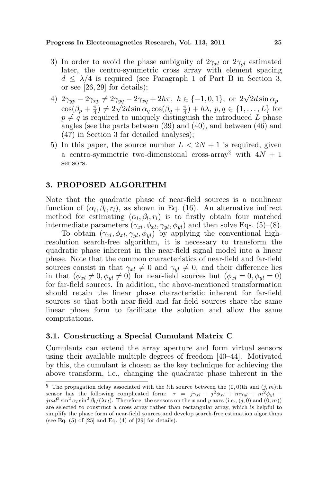#### Progress In Electromagnetics Research, Vol. 113, 2011 25

- 3) In order to avoid the phase ambiguity of  $2\gamma_{xl}$  or  $2\gamma_{yl}$  estimated later, the centro-symmetric cross array with element spacing  $d \leq \lambda/4$  is required (see Paragraph 1 of Part B in Section 3, or see [26, 29] for details);
- 4)  $2\gamma_{yp} 2\gamma_{xp} \neq 2\gamma_{yq} 2\gamma_{xq} + 2h\pi, h \in \{-1, 0, 1\}, \text{ or } 2\sqrt{2}d\sin \alpha_p$  $\cos(\beta_p + \frac{\pi}{4})$  $\begin{array}{l} \n\frac{\pi}{4} \neq 2\sqrt{2}d \sin \alpha_q \cos(\beta_q + \frac{\pi}{4})\n\end{array}$  $(\frac{\pi}{4}) + h\lambda$ ,  $p, q \in \{1, \ldots, L\}$  for  $p \neq q$  is required to uniquely distinguish the introduced L phase angles (see the parts between (39) and (40), and between (46) and (47) in Section 3 for detailed analyses);
- 5) In this paper, the source number  $L < 2N + 1$  is required, given a centro-symmetric two-dimensional cross-array<br>§ with  $4N+1$ sensors.

### 3. PROPOSED ALGORITHM

Note that the quadratic phase of near-field sources is a nonlinear function of  $(\alpha_l, \beta_l, r_l)$ , as shown in Eq. (16). An alternative indirect method for estimating  $(\alpha_l, \beta_l, r_l)$  is to firstly obtain four matched intermediate parameters  $(\gamma_{xl}, \phi_{xl}, \gamma_{yl}, \phi_{yl})$  and then solve Eqs. (5)–(8).

To obtain  $(\gamma_{xl}, \phi_{xl}, \gamma_{wl}, \phi_{vl})$  by applying the conventional highresolution search-free algorithm, it is necessary to transform the quadratic phase inherent in the near-field signal model into a linear phase. Note that the common characteristics of near-field and far-field sources consist in that  $\gamma_{xl} \neq 0$  and  $\gamma_{vl} \neq 0$ , and their difference lies in that  $(\phi_{xl} \neq 0, \phi_{yl} \neq 0)$  for near-field sources but  $(\phi_{xl} = 0, \phi_{yl} = 0)$ for far-field sources. In addition, the above-mentioned transformation should retain the linear phase characteristic inherent for far-field sources so that both near-field and far-field sources share the same linear phase form to facilitate the solution and allow the same computations.

### 3.1. Constructing a Special Cumulant Matrix C

Cumulants can extend the array aperture and form virtual sensors using their available multiple degrees of freedom [40–44]. Motivated by this, the cumulant is chosen as the key technique for achieving the above transform, i.e., changing the quadratic phase inherent in the

<sup>§</sup> The propagation delay associated with the lth source between the  $(0,0)$ th and  $(j, m)$ th sensor has the following complicated form:  $\tau = j\gamma_{xl} + j^2\phi_{xl} + m\gamma_{yl} + m^2\phi_{yl}$  $jmd^2\sin^2\alpha_l\sin^2\beta_l/(\lambda r_l)$ . Therefore, the sensors on the x and y axes (i.e.,  $(j, 0)$  and  $(0, m)$ ) are selected to construct a cross array rather than rectangular array, which is helpful to simplify the phase form of near-field sources and develop search-free estimation algorithms (see Eq.  $(5)$  of  $[25]$  and Eq.  $(4)$  of  $[29]$  for details).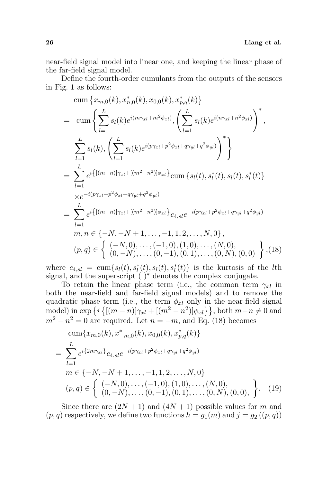near-field signal model into linear one, and keeping the linear phase of the far-field signal model.

Define the fourth-order cumulants from the outputs of the sensors in Fig. 1 as follows:

$$
\begin{split}\n&\text{cum}\left\{x_{m,0}(k), x_{n,0}^*(k), x_{0,0}(k), x_{p,q}^*(k)\right\} \\
&= \text{cum}\left\{\sum_{l=1}^L s_l(k)e^{i(m\gamma_{xl} + m^2\phi_{xl})}, \left(\sum_{l=1}^L s_l(k)e^{i(n\gamma_{xl} + n^2\phi_{xl})}\right)^*, \\
&\sum_{l=1}^L s_l(k), \left(\sum_{l=1}^L s_l(k)e^{i(p\gamma_{xl} + p^2\phi_{xl} + q\gamma_{yl} + q^2\phi_{yl})}\right)^*\right\} \\
&= \sum_{l=1}^L e^{i\{[(m-n)]\gamma_{xl} + [(m^2 - n^2)]\phi_{xl}\}} \text{cum}\left\{s_l(t), s_l^*(t), s_l(t), s_l^*(t)\right\} \\
&= \sum_{l=1}^L e^{i\{[(m-n)]\gamma_{xl} + [(m^2 - n^2)]\phi_{xl}\}} c_{4,sl} e^{-i(p\gamma_{xl} + p^2\phi_{xl} + q\gamma_{yl} + q^2\phi_{yl})} \\
&m, n \in \{-N, -N + 1, \dots, -1, 1, 2, \dots, N, 0\}, \\
&(p,q) \in \left\{\begin{array}{l} (-N,0), \dots, (-1,0), (1,0), \dots, (N,0), \\
(0,-N), \dots, (0,-1), (0,1), \dots, (0,N), (0,0) \end{array}\right\}, (18)\n\end{split}
$$

where  $c_{4,sl} = \text{cum}\lbrace s_l(t), s_l^*(t), s_l(t), s_l^*(t)\rbrace$  is the kurtosis of the *l*th signal, and the superscript ( )<sup>∗</sup> denotes the complex conjugate.

To retain the linear phase term (i.e., the common term  $\gamma_{xl}$  in both the near-field and far-field signal models) and to remove the quadratic phase term (i.e., the term  $\phi_{xl}$  only in the near-field signal quadratic phase term (i.e., the term  $\varphi_{xl}$  only in the near-neid signal<br>model) in exp  $\{i\}[(m-n)]\gamma_{xl} + [(m^2 - n^2)]\phi_{xl}\}$ , both  $m-n \neq 0$  and  $m^2 - n^2 = 0$  are required. Let  $n = -m$ , and Eq. (18) becomes

cum{
$$
x_{m,0}(k), x_{-m,0}^*(k), x_{0,0}(k), x_{p,q}^*(k)
$$
}  
\n
$$
= \sum_{l=1}^L e^{i\{2m\gamma_{xl}\}} c_{4,sl} e^{-i(p\gamma_{xl} + p^2\phi_{xl} + q\gamma_{yl} + q^2\phi_{yl})}
$$
\n
$$
m \in \{-N, -N+1, \dots, -1, 1, 2, \dots, N, 0\}
$$
\n
$$
(p,q) \in \left\{ \begin{array}{l} (-N,0), \dots, (-1,0), (1,0), \dots, (N,0), \\ (0,-N), \dots, (0,-1), (0,1), \dots, (0,N), (0,0), \end{array} \right\}.
$$
\n(19)

Since there are  $(2N + 1)$  and  $(4N + 1)$  possible values for m and  $(p, q)$  respectively, we define two functions  $h = q_1(m)$  and  $j = q_2((p, q))$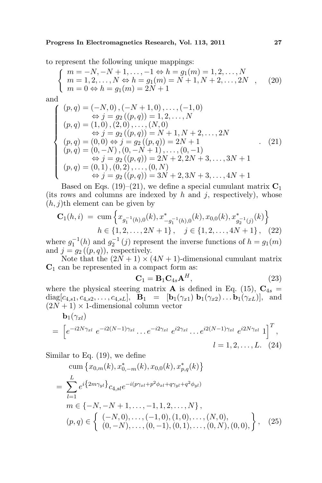to represent the following unique mappings:

$$
\begin{cases}\nm = -N, -N + 1, \dots, -1 \Leftrightarrow h = g_1(m) = 1, 2, \dots, N \\
m = 1, 2, \dots, N \Leftrightarrow h = g_1(m) = N + 1, N + 2, \dots, 2N \\
m = 0 \Leftrightarrow h = g_1(m) = 2N + 1\n\end{cases}
$$
\n(20)

and

$$
\begin{cases}\n(p,q) = (-N,0), (-N+1,0), \dots, (-1,0) \\
\Leftrightarrow j = g_2((p,q)) = 1,2, \dots, N \\
(p,q) = (1,0), (2,0), \dots, (N,0) \\
\Leftrightarrow j = g_2((p,q)) = N+1, N+2, \dots, 2N \\
(p,q) = (0,0) \Leftrightarrow j = g_2((p,q)) = 2N+1 \\
(p,q) = (0,-N), (0,-N+1), \dots, (0,-1) \\
\Leftrightarrow j = g_2((p,q)) = 2N+2, 2N+3, \dots, 3N+1 \\
(p,q) = (0,1), (0,2), \dots, (0,N) \\
\Leftrightarrow j = g_2((p,q)) = 3N+2, 3N+3, \dots, 4N+1\n\end{cases} (21)
$$

Based on Eqs. (19)–(21), we define a special cumulant matrix  $C_1$ (its rows and columns are indexed by  $h$  and  $j$ , respectively), whose o

$$
(h, j)
$$
th element can be given by  
\n
$$
\mathbf{C}_1(h, i) = \operatorname{cum} \left\{ x_{g_1^{-1}(h),0}(k), x_{-g_1^{-1}(h),0}^*(k), x_{0,0}(k), x_{g_2^{-1}(j)}^*(k) \right\}
$$
\n
$$
h \in \{1, 2, \dots, 2N + 1\}, \quad j \in \{1, 2, \dots, 4N + 1\}, \quad (22)
$$

where  $g_1^{-1}(h)$  and  $g_2^{-1}(j)$  represent the inverse functions of  $h = g_1(m)$ and  $j = g_2((p, q))$ , respectively.

Note that the  $(2N + 1) \times (4N + 1)$ -dimensional cumulant matrix  $C_1$  can be represented in a compact form as:

$$
\mathbf{C}_1 = \mathbf{B}_1 \mathbf{C}_{4s} \mathbf{A}^H, \tag{23}
$$

where the physical steering matrix **A** is defined in Eq. (15),  $C_{4s}$  =  $diag[c_{4,s1}, c_{4,s2}, \ldots, c_{4,sL}], \quad \mathbf{B}_1 = [\mathbf{b}_1(\gamma_{x1}) \ \mathbf{b}_1(\gamma_{x2}) \ldots \mathbf{b}_1(\gamma_{xL})], \text{ and}$  $(2N + 1) \times 1$ -dimensional column vector

$$
\mathbf{b}_1(\gamma_{xl}) = \left[ e^{-i2N\gamma_{xl}} \ e^{-i2(N-1)\gamma_{xl}} \dots e^{-i2\gamma_{xl}} \ e^{i2\gamma_{xl}} \dots e^{i2(N-1)\gamma_{xl}} \ e^{i2N\gamma_{xl}} \ 1 \right]^T,
$$
  

$$
l = 1, 2, \dots, L. \quad (24)
$$

Similar to Eq. (19), we define  
\n
$$
\text{cum}\left\{x_{0,m}(k), x_{0,-m}^*(k), x_{0,0}(k), x_{p,q}^*(k)\right\}
$$
\n
$$
= \sum_{l=1}^L e^{i\left\{2m\gamma_{yl}\right\}} c_{4,sl} e^{-i\left(p\gamma_{xl} + p^2\phi_{xl} + q\gamma_{yl} + q^2\phi_{yl}\right)}
$$
\n
$$
m \in \{-N, -N+1, \dots, -1, 1, 2, \dots, N\},
$$
\n
$$
(p,q) \in \left\{\begin{array}{l} (-N,0), \dots, (-1,0), (1,0), \dots, (N,0), \\ (0,-N), \dots, (0,-1), (0,1), \dots, (0,N), (0,0), \end{array}\right\}, \quad (25)
$$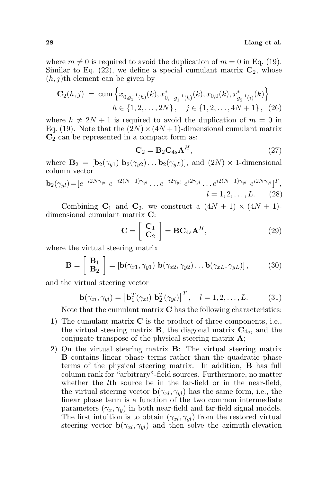where  $m \neq 0$  is required to avoid the duplication of  $m = 0$  in Eq. (19). Similar to Eq. (22), we define a special cumulant matrix  $C_2$ , whose  $(h, j)$ th element can be given by

$$
\mathbf{C}_{2}(h,j) = \operatorname{cum} \left\{ x_{0,g_{1}^{-1}(h)}(k), x_{0,-g_{1}^{-1}(h)}^{*}(k), x_{0,0}(k), x_{g_{2}^{-1}(i)}^{*}(k) \right\}
$$

$$
h \in \{1, 2, ..., 2N\}, \quad j \in \{1, 2, ..., 4N + 1\}, \quad (26)
$$

where  $h \neq 2N + 1$  is required to avoid the duplication of  $m = 0$  in Eq. (19). Note that the  $(2N) \times (4N + 1)$ -dimensional cumulant matrix  $\mathbb{C}_2$  can be represented in a compact form as:

$$
\mathbf{C}_2 = \mathbf{B}_2 \mathbf{C}_{4s} \mathbf{A}^H, \tag{27}
$$

where  $\mathbf{B}_2 = [\mathbf{b}_2(\gamma_{u1}) \ \mathbf{b}_2(\gamma_{u2}) \dots \mathbf{b}_2(\gamma_{uL})],$  and  $(2N) \times 1$ -dimensional column vector

$$
\mathbf{b}_2(\gamma_{yl}) = [e^{-i2N\gamma_{yl}} \ e^{-i2(N-1)\gamma_{yl}} \dots e^{-i2\gamma_{yl}} \ e^{i2\gamma_{yl}} \dots e^{i2(N-1)\gamma_{yl}} \ e^{i2N\gamma_{yl}}]^T,
$$
  

$$
l = 1, 2, \dots, L.
$$
 (28)

Combining  $C_1$  and  $C_2$ , we construct a  $(4N + 1) \times (4N + 1)$ dimensional cumulant matrix C:  $\overline{a}$ 

$$
\mathbf{C} = \left[ \begin{array}{c} \mathbf{C}_1 \\ \mathbf{C}_2 \end{array} \right] = \mathbf{B} \mathbf{C}_{4s} \mathbf{A}^H,
$$
 (29)

where the virtual steering matrix

$$
\mathbf{B} = \begin{bmatrix} \mathbf{B}_1 \\ \mathbf{B}_2 \end{bmatrix} = \begin{bmatrix} \mathbf{b}(\gamma_{x1}, \gamma_{y1}) & \mathbf{b}(\gamma_{x2}, \gamma_{y2}) \dots \mathbf{b}(\gamma_{xL}, \gamma_{yL}) \end{bmatrix},\tag{30}
$$

and the virtual steering vector

$$
\mathbf{b}(\gamma_{xl}, \gamma_{yl}) = \left[\mathbf{b}_1^T(\gamma_{xl}) \ \mathbf{b}_2^T(\gamma_{yl})\right]^T, \quad l = 1, 2, \dots, L. \tag{31}
$$

Note that the cumulant matrix  $C$  has the following characteristics:

- 1) The cumulant matrix  $C$  is the product of three components, i.e., the virtual steering matrix  $\mathbf{B}$ , the diagonal matrix  $\mathbf{C}_{4s}$ , and the conjugate transpose of the physical steering matrix A;
- 2) On the virtual steering matrix B: The virtual steering matrix B contains linear phase terms rather than the quadratic phase terms of the physical steering matrix. In addition, B has full column rank for "arbitrary"-field sources. Furthermore, no matter whether the *l*th source be in the far-field or in the near-field, the virtual steering vector  $\mathbf{b}(\gamma_{xl}, \gamma_{vl})$  has the same form, i.e., the linear phase term is a function of the two common intermediate parameters  $(\gamma_x, \gamma_y)$  in both near-field and far-field signal models. The first intuition is to obtain  $(\gamma_{xl}, \gamma_{vl})$  from the restored virtual steering vector  $\mathbf{b}(\gamma_{xl}, \gamma_{vl})$  and then solve the azimuth-elevation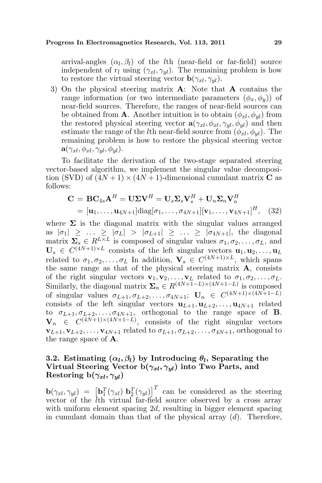arrival-angles  $(\alpha_l, \beta_l)$  of the *l*th (near-field or far-field) source independent of  $r_l$  using  $(\gamma_{xl}, \gamma_{yl})$ . The remaining problem is how to restore the virtual steering vector  $\mathbf{b}(\gamma_{xl}, \gamma_{yl})$ .

3) On the physical steering matrix  $\bf{A}$ : Note that  $\bf{A}$  contains the range information (or two intermediate parameters  $(\phi_x, \phi_y)$ ) of near-field sources. Therefore, the ranges of near-field sources can be obtained from **A**. Another intuition is to obtain  $(\phi_{xl}, \phi_{vl})$  from the restored physical steering vector  $\mathbf{a}(\gamma_{xl}, \phi_{xl}, \gamma_{vl}, \phi_{vl})$  and then estimate the range of the *l*th near-field source from  $(\phi_{xl}, \phi_{vl})$ . The remaining problem is how to restore the physical steering vector  $\mathbf{a}(\gamma_{xl}, \phi_{xl}, \gamma_{wl}, \phi_{wl}).$ 

To facilitate the derivation of the two-stage separated steering vector-based algorithm, we implement the singular value decomposition (SVD) of  $(4N+1) \times (4N+1)$ -dimensional cumulant matrix **C** as follows:

$$
\mathbf{C} = \mathbf{B}\mathbf{C}_{4s}\mathbf{A}^H = \mathbf{U}\mathbf{\Sigma}\mathbf{V}^H = \mathbf{U}_s\mathbf{\Sigma}_s\mathbf{V}_s^H + \mathbf{U}_n\mathbf{\Sigma}_n\mathbf{V}_n^H
$$
  
=  $[\mathbf{u}_1, \dots, \mathbf{u}_{4N+1}] \text{diag}[\sigma_1, \dots, \sigma_{4N+1}][\mathbf{v}_1, \dots, \mathbf{v}_{4N+1}]^H, (32)$ 

where  $\Sigma$  is the diagonal matrix with the singular values arranged as  $|\sigma_1| \geq ... \geq |\sigma_L| > |\sigma_{L+1}| \geq ... \geq |\sigma_{4N+1}|$ , the diagonal matrix  $\Sigma_s \in R^{L \times L}$  is composed of singular values  $\sigma_1, \sigma_2, \ldots, \sigma_L$ , and  $\mathbf{U}_s \in C^{(4N+1)\times L}$  consists of the left singular vectors  $\mathbf{u}_1, \mathbf{u}_2, \ldots, \mathbf{u}_L$ related to  $\sigma_1, \sigma_2, \ldots, \sigma_L$  In addition,  $\mathbf{V}_s \in C^{(4N+1)\times L}$ , which spans the same range as that of the physical steering matrix A, consists of the right singular vectors  $\mathbf{v}_1, \mathbf{v}_2, \ldots, \mathbf{v}_L$  related to  $\sigma_1, \sigma_2, \ldots, \sigma_L$ . Similarly, the diagonal matrix  $\Sigma_n \in R^{(4N+1-L)\times(4N+1-L)}$  is composed of singular values  $\sigma_{L+1}, \sigma_{L+2}, \ldots, \sigma_{4N+1}$ ;  $\mathbf{U}_n \in C^{(4N+1)\times(4N+1-L)}$ consists of the left singular vectors  $\mathbf{u}_{L+1}, \mathbf{u}_{L+2}, \ldots, \mathbf{u}_{4N+1}$  related to  $\sigma_{L+1}, \sigma_{L+2}, \ldots, \sigma_{4N+1}$ , orthogonal to the range space of **B**.  $\mathbf{V}_n \in C^{(4N+1)\times(4N+1-L)}$ , consists of the right singular vectors  $\mathbf{v}_{L+1}, \mathbf{v}_{L+2}, \ldots, \mathbf{v}_{4N+1}$  related to  $\sigma_{L+1}, \sigma_{L+2}, \ldots, \sigma_{4N+1}$ , orthogonal to the range space of A.

## 3.2. Estimating  $(\alpha_l, \beta_l)$  by Introducing  $\theta_l$ , Separating the Virtual Steering Vector  $b(\gamma_{xl}, \gamma_{yl})$  into Two Parts, and Restoring b $(\gamma_{xl}, \gamma_{yl})$

 $\mathbf{b}(\gamma_{xl}, \gamma_{yl}) = [\mathbf{b}_1^T(\gamma_{xl}) \; \mathbf{b}_2^T(\gamma_{yl})]$  $\begin{bmatrix} T \end{bmatrix}$  can be considered as the steering vector of the  $\bar{l}$ th virtual far-field source observed by a cross array with uniform element spacing 2d, resulting in bigger element spacing in cumulant domain than that of the physical array  $(d)$ . Therefore,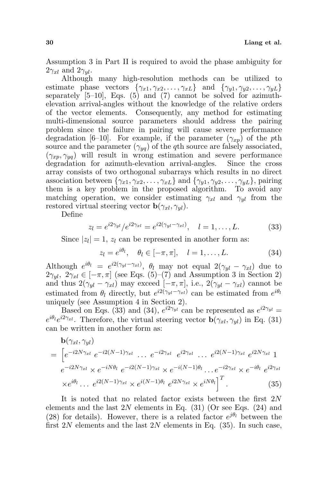Assumption 3 in Part II is required to avoid the phase ambiguity for  $2\gamma_{xl}$  and  $2\gamma_{wl}$ .

Although many high-resolution methods can be utilized to estimate phase vectors  $\{\gamma_{x1}, \gamma_{x2}, \ldots, \gamma_{xL}\}$  and  $\{\gamma_{y1}, \gamma_{y2}, \ldots, \gamma_{yL}\}$ separately  $[5-10]$ , Eqs.  $(5)$  and  $(7)$  cannot be solved for azimuthelevation arrival-angles without the knowledge of the relative orders of the vector elements. Consequently, any method for estimating multi-dimensional source parameters should address the pairing problem since the failure in pairing will cause severe performance degradation [6–10]. For example, if the parameter  $(\gamma_{xp})$  of the pth source and the parameter  $(\gamma_{ya})$  of the qth source are falsely associated,  $(\gamma_{xp}, \gamma_{yq})$  will result in wrong estimation and severe performance degradation for azimuth-elevation arrival-angles. Since the cross array consists of two orthogonal subarrays which results in no direct association between  $\{\gamma_{x1}, \gamma_{x2}, \ldots, \gamma_{xL}\}\$  and  $\{\gamma_{y1}, \gamma_{y2}, \ldots, \gamma_{yL}\}\$ , pairing them is a key problem in the proposed algorithm. To avoid any matching operation, we consider estimating  $\gamma_{xl}$  and  $\gamma_{yl}$  from the restored virtual steering vector  $\mathbf{b}(\gamma_{xl}, \gamma_{yl})$ .

Define

$$
z_l = e^{i2\gamma_{yl}}/e^{i2\gamma_{xl}} = e^{i2(\gamma_{yl} - \gamma_{xl})}, \quad l = 1, ..., L.
$$
 (33)

Since  $|z_l|=1$ ,  $z_l$  can be represented in another form as:

$$
z_l = e^{i\theta_l}, \quad \theta_l \in [-\pi, \pi], \quad l = 1, \dots, L. \tag{34}
$$

Although  $e^{i\theta_l} = e^{i2(\gamma_{yl}-\gamma_{xl})}$ ,  $\theta_l$  may not equal  $2(\gamma_{yl}-\gamma_{xl})$  due to  $2\gamma_{yl}$ ,  $2\gamma_{xl} \in [-\pi, \pi]$  (see Eqs. (5)–(7) and Assumption 3 in Section 2) and thus  $2(\gamma_{yl} - \gamma_{xl})$  may exceed  $[-\pi, \pi]$ , i.e.,  $2(\gamma_{yl} - \gamma_{xl})$  cannot be estimated from  $\theta_l$  directly, but  $e^{i2(\gamma_{yl}-\gamma_{xl})}$  can be estimated from  $e^{i\theta_l}$ uniquely (see Assumption 4 in Section 2).

Based on Eqs. (33) and (34),  $e^{i2\gamma_{yl}}$  can be represented as  $e^{i2\gamma_{yl}} =$  $e^{i\theta_l}e^{i2\gamma_{xl}}$ . Therefore, the virtual steering vector  $\mathbf{b}(\gamma_{xl}, \gamma_{yl})$  in Eq. (31) can be written in another form as:

$$
\mathbf{b}(\gamma_{xl}, \gamma_{yl}) = \left[ e^{-i2N\gamma_{xl}} \ e^{-i2(N-1)\gamma_{xl}} \ \dots \ e^{-i2\gamma_{xl}} \ e^{i2\gamma_{xl}} \ \dots \ e^{i2(N-1)\gamma_{xl}} \ e^{i2N\gamma_{xl}} \ 1
$$
\n
$$
e^{-i2N\gamma_{xl}} \times e^{-iN\theta_l} \ e^{-i2(N-1)\gamma_{xl}} \times e^{-i(N-1)\theta_l} \ \dots \ e^{-i2\gamma_{xl}} \times e^{-i\theta_l} \ e^{i2\gamma_{xl}}
$$
\n
$$
\times e^{i\theta_l} \ \dots \ e^{i2(N-1)\gamma_{xl}} \times e^{i(N-1)\theta_l} \ e^{i2N\gamma_{xl}} \times e^{iN\theta_l} \right]^T. \tag{35}
$$

It is noted that no related factor exists between the first  $2N$ elements and the last  $2N$  elements in Eq. (31) (Or see Eqs. (24) and (28) for details). However, there is a related factor  $e^{j\theta_l}$  between the first  $2N$  elements and the last  $2N$  elements in Eq. (35). In such case,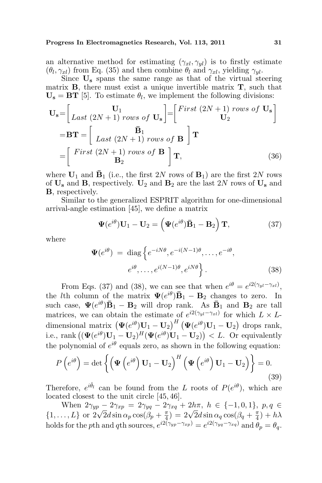an alternative method for estimating  $(\gamma_{xl}, \gamma_{yl})$  is to firstly estimate  $(\theta_l, \gamma_{xl})$  from Eq. (35) and then combine  $\theta_l$  and  $\gamma_{xl}$ , yielding  $\gamma_{yl}$ .

Since  $U_s$  spans the same range as that of the virtual steering matrix  $\bf{B}$ , there must exist a unique invertible matrix  $\bf{T}$ , such that  $U_s = BT$  [5]. To estimate  $\theta_l$ , we implement the following divisions:

$$
\mathbf{U}_{\mathbf{s}} = \begin{bmatrix} \mathbf{U}_{1} & \mathbf{U}_{1} \\ Last (2N+1) \text{ rows of } \mathbf{U}_{\mathbf{s}} \end{bmatrix} = \begin{bmatrix} First (2N+1) \text{ rows of } \mathbf{U}_{\mathbf{s}} \\ \mathbf{U}_{2} \end{bmatrix}
$$

$$
= \mathbf{BT} = \begin{bmatrix} \mathbf{B}_{1} & \mathbf{B}_{1} \\ Last (2N+1) \text{ rows of } \mathbf{B} \end{bmatrix} \mathbf{T}
$$

$$
= \begin{bmatrix} First (2N+1) \text{ rows of } \mathbf{B} \\ \mathbf{B}_{2} \end{bmatrix} \mathbf{T}, \qquad (36)
$$

where  $\mathbf{U}_1$  and  $\mathbf{\bar{B}}_1$  (i.e., the first 2N rows of  $\mathbf{B}_1$ ) are the first 2N rows of  $U_s$  and  $B_s$ , respectively.  $U_2$  and  $B_2$  are the last 2N rows of  $U_s$  and B, respectively.

Similar to the generalized ESPRIT algorithm for one-dimensional arrival-angle estimation [45], we define a matrix

$$
\mathbf{\Psi}(e^{i\theta})\mathbf{U}_1 - \mathbf{U}_2 = \left(\mathbf{\Psi}(e^{i\theta})\mathbf{\bar{B}}_1 - \mathbf{B}_2\right)\mathbf{T},\tag{37}
$$

where

$$
\Psi(e^{i\theta}) = \text{diag}\left\{e^{-iN\theta}, e^{-i(N-1)\theta}, \dots, e^{-i\theta},\right.\n\left.e^{i\theta}, \dots, e^{i(N-1)\theta}, e^{iN\theta}\right\}.
$$
\n(38)

From Eqs. (37) and (38), we can see that when  $e^{i\theta} = e^{i2(\gamma_{yl}-\gamma_{xl})}$ , the *l*th column of the matrix  $\Psi(e^{i\theta})\bar{\mathbf{B}}_1 - \mathbf{B}_2$  changes to zero. In such case,  $\Psi(e^{i\theta})\bar{\mathbf{B}}_1 - \mathbf{B}_2$  will drop rank. As  $\bar{\mathbf{B}}_1$  and  $\mathbf{B}_2$  are tall matrices, we can obtain the estimate of  $e^{i2(\gamma_{yl}-\gamma_{xl})}$  for which  $L \times L$ dimensional matrix  $\left(\Psi(e^{i\theta})\mathbf{U}_1 - \mathbf{U}_2\right)^H \left(\Psi(e^{i\theta})\mathbf{U}_1 - \mathbf{U}_2\right)$  $\left(\begin{array}{c}\n\mathbf{U}_1 - \mathbf{U}_2\n\end{array}\right)$  drops rank, dimensional matrix  $(\Psi(e^{-})\mathbf{U}_1 - \mathbf{U}_2)$   $(\Psi(e^{-})\mathbf{U}_1 - \mathbf{U}_2)$  drops rank,<br>i.e., rank  $((\Psi(e^{i\theta})\mathbf{U}_1 - \mathbf{U}_2)^H(\Psi(e^{i\theta})\mathbf{U}_1 - \mathbf{U}_2)) < L$ . Or equivalently the polynomial of  $e^{i\theta}$  equals zero, as shown in the following equation:

$$
P\left(e^{i\theta}\right) = \det\left\{ \left(\Psi\left(e^{i\theta}\right) \mathbf{U}_1 - \mathbf{U}_2\right)^H \left(\Psi\left(e^{i\theta}\right) \mathbf{U}_1 - \mathbf{U}_2\right) \right\} = 0. \tag{39}
$$

Therefore,  $e^{i\hat{\theta}_l}$  can be found from the L roots of  $P(e^{i\theta})$ , which are located closest to the unit circle [45, 46].

When  $2\gamma_{yp} - 2\gamma_{xp} = 2\gamma_{yq} - 2\gamma_{xq} + 2h\pi$ ,  $h \in \{-1, 0, 1\}$ ,  $p, q \in$ when  $2\gamma_{yp} - 2\gamma_{xp} = 2\gamma_{yq} - 2\gamma_{yr}$ <br>{1,..., L} or  $2\sqrt{2}d \sin \alpha_p \cos(\beta_p + \frac{\pi}{4})$  $\left( \frac{\pi}{4} \right) = 2\sqrt{2}d \sin \alpha_q \cos(\beta_q + \frac{\pi}{4})$  $\frac{\pi}{4}) + h\lambda$ holds for the pth and qth sources,  $e^{i2(\gamma_{yp}-\gamma_{xp})} = e^{i2(\gamma_{yq}-\gamma_{xq})}$  and  $\theta_p = \theta_q$ .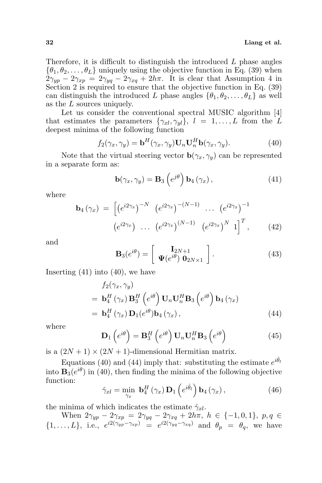Therefore, it is difficult to distinguish the introduced  $L$  phase angles  $\{\theta_1, \theta_2, \ldots, \theta_L\}$  uniquely using the objective function in Eq. (39) when  $2\gamma_{up} - 2\gamma_{xp} = 2\gamma_{yq} - 2\gamma_{xq} + 2h\pi$ . It is clear that Assumption 4 in Section 2 is required to ensure that the objective function in Eq. (39) can distinguish the introduced L phase angles  $\{\theta_1, \theta_2, \dots, \theta_L\}$  as well as the L sources uniquely.

Let us consider the conventional spectral MUSIC algorithm [4] that estimates the parameters  $\{\gamma_{xl}, \gamma_{yl}\}, l = 1, \ldots, L$  from the L deepest minima of the following function

$$
f_2(\gamma_x, \gamma_y) = \mathbf{b}^H(\gamma_x, \gamma_y) \mathbf{U}_n \mathbf{U}_n^H \mathbf{b}(\gamma_x, \gamma_y).
$$
 (40)

Note that the virtual steering vector  $\mathbf{b}(\gamma_x, \gamma_y)$  can be represented in a separate form as:

$$
\mathbf{b}(\gamma_x, \gamma_y) = \mathbf{B}_3 \left( e^{j\theta} \right) \mathbf{b}_4 \left( \gamma_x \right), \tag{41}
$$

where

$$
\mathbf{b}_{4}(\gamma_{x}) = \begin{bmatrix} (e^{i2\gamma_{x}})^{-N} & (e^{i2\gamma_{x}})^{-(N-1)} & \dots & (e^{i2\gamma_{x}})^{-1} \\ (e^{i2\gamma_{x}}) & \dots & (e^{i2\gamma_{x}})^{(N-1)} & (e^{i2\gamma_{x}})^{N} & 1 \end{bmatrix}^{T}, \quad (42)
$$

and

$$
\mathbf{B}_3(e^{i\theta}) = \left[ \begin{array}{c} \mathbf{I}_{2N+1} \\ \mathbf{\Psi}(e^{i\theta}) \ \mathbf{0}_{2N \times 1} \end{array} \right]. \tag{43}
$$

Inserting (41) into (40), we have

$$
f_2(\gamma_x, \gamma_y)
$$
  
=  $\mathbf{b}_4^H(\gamma_x) \mathbf{B}_3^H(e^{i\theta}) \mathbf{U}_n \mathbf{U}_n^H \mathbf{B}_3(e^{i\theta}) \mathbf{b}_4(\gamma_x)$   
=  $\mathbf{b}_4^H(\gamma_x) \mathbf{D}_1(e^{i\theta}) \mathbf{b}_4(\gamma_x),$  (44)

where

$$
\mathbf{D}_{1}\left(e^{i\theta}\right) = \mathbf{B}_{3}^{H}\left(e^{i\theta}\right)\mathbf{U}_{n}\mathbf{U}_{n}^{H}\mathbf{B}_{3}\left(e^{i\theta}\right)
$$
\n(45)

is a  $(2N + 1) \times (2N + 1)$ -dimensional Hermitian matrix.

Equations (40) and (44) imply that: substituting the estimate  $e^{i\hat{\theta}_l}$ into  $\mathbf{B}_3(e^{i\theta})$  in (40), then finding the minima of the following objective function:  $\overline{a}$ ´

$$
\hat{\gamma}_{xl} = \min_{\gamma_x} \mathbf{b}_4^H \left( \gamma_x \right) \mathbf{D}_1 \left( e^{i\hat{\theta}_l} \right) \mathbf{b}_4 \left( \gamma_x \right), \tag{46}
$$

the minima of which indicates the estimate  $\hat{\gamma}_{xl}$ .

When  $2\gamma_{yp} - 2\gamma_{xp} = 2\gamma_{yq} - 2\gamma_{xq} + 2h\pi$ ,  $h \in \{-1, 0, 1\}$ ,  $p, q \in$  $\{1,\ldots,L\},\,$  i.e.,  $e^{i2(\gamma_{yp}-\gamma_{xp})} = e^{i2(\gamma_{yq}-\gamma_{xq})}$  and  $\theta_p = \theta_q$ , we have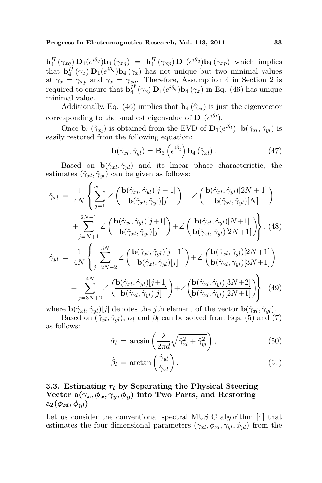$\mathbf{b}_4^H(\gamma_{xq}) \mathbf{D}_1(e^{i\theta_q}) \mathbf{b}_4(\gamma_{xq}) = \mathbf{b}_4^H(\gamma_{xp}) \mathbf{D}_1(e^{i\theta_q}) \mathbf{b}_4(\gamma_{xp})$  which implies that  $\mathbf{b}_4^H(\gamma_x) \mathbf{D}_1(e^{i\theta_q}) \mathbf{b}_4(\gamma_x)$  has not unique but two minimal values at  $\gamma_x = \gamma_{xp}$  and  $\gamma_x = \gamma_{xq}$ . Therefore, Assumption 4 in Section 2 is required to ensure that  $\mathbf{b}_4^H(\gamma_x) \mathbf{D}_1(e^{i\theta_q}) \mathbf{b}_4(\gamma_x)$  in Eq. (46) has unique minimal value.

Additionally, Eq. (46) implies that  $\mathbf{b}_4(\hat{\gamma}_{x_l})$  is just the eigenvector corresponding to the smallest eigenvalue of  $\mathbf{D}_1(e^{i\hat{\theta}_l})$ .

Once  $\mathbf{b}_4(\hat{\gamma}_{x_l})$  is obtained from the EVD of  $\mathbf{D}_1(e^{i\hat{\theta}_l}), \mathbf{b}(\hat{\gamma}_{xl}, \hat{\gamma}_{yl})$  is easily restored from the following equation:

$$
\mathbf{b}(\hat{\gamma}_{xl}, \hat{\gamma}_{yl}) = \mathbf{B}_3 \left( e^{i\hat{\theta}_l} \right) \mathbf{b}_4 \left( \hat{\gamma}_{xl} \right). \tag{47}
$$

Based on  $\mathbf{b}(\hat{\gamma}_{xl}, \hat{\gamma}_{yl})$  and its linear phase characteristic, the estimates  $(\hat{\gamma}_{xl}, \hat{\gamma}_{yl})$  can be given as follows:

$$
\hat{\gamma}_{xl} = \frac{1}{4N} \left\{ \sum_{j=1}^{N-1} \angle \left( \frac{\mathbf{b}(\hat{\gamma}_{xl}, \hat{\gamma}_{yl})[j+1]}{\mathbf{b}(\hat{\gamma}_{xl}, \hat{\gamma}_{yl})[j]} \right) + \angle \left( \frac{\mathbf{b}(\hat{\gamma}_{xl}, \hat{\gamma}_{yl})[2N+1]}{\mathbf{b}(\hat{\gamma}_{xl}, \hat{\gamma}_{yl})[N]} \right) \n+ \sum_{j=N+1}^{2N-1} \angle \left( \frac{\mathbf{b}(\hat{\gamma}_{xl}, \hat{\gamma}_{yl})[j+1]}{\mathbf{b}(\hat{\gamma}_{xl}, \hat{\gamma}_{yl})[j]} \right) + \angle \left( \frac{\mathbf{b}(\hat{\gamma}_{xl}, \hat{\gamma}_{yl})[N+1]}{\mathbf{b}(\hat{\gamma}_{xl}, \hat{\gamma}_{yl})[2N+1]} \right),
$$
\n(48)\n
$$
\hat{\gamma}_{yl} = \frac{1}{4N} \left\{ \sum_{j=2N+2}^{3N} \angle \left( \frac{\mathbf{b}(\hat{\gamma}_{xl}, \hat{\gamma}_{yl})[j+1]}{\mathbf{b}(\hat{\gamma}_{xl}, \hat{\gamma}_{yl})[j]} \right) + \angle \left( \frac{\mathbf{b}(\hat{\gamma}_{xl}, \hat{\gamma}_{yl})[2N+1]}{\mathbf{b}(\hat{\gamma}_{xl}, \hat{\gamma}_{yl})[3N+1]} \right) \n+ \sum_{j=3N+2}^{4N} \angle \left( \frac{\mathbf{b}(\hat{\gamma}_{xl}, \hat{\gamma}_{yl})[j+1]}{\mathbf{b}(\hat{\gamma}_{xl}, \hat{\gamma}_{yl})[j]} \right) + \angle \left( \frac{\mathbf{b}(\hat{\gamma}_{xl}, \hat{\gamma}_{yl})[3N+2]}{\mathbf{b}(\hat{\gamma}_{xl}, \hat{\gamma}_{yl})[2N+1]} \right),
$$
\n(49)

where  $\mathbf{b}(\hat{\gamma}_{xl}, \hat{\gamma}_{yl})[j]$  denotes the jth element of the vector  $\mathbf{b}(\hat{\gamma}_{xl}, \hat{\gamma}_{yl})$ .

Based on  $(\hat{\gamma}_{xl}, \hat{\gamma}_{vl})$ ,  $\alpha_l$  and  $\beta_l$  can be solved from Eqs. (5) and (7) as follows:

$$
\hat{\alpha}_l = \arcsin\left(\frac{\lambda}{2\pi d}\sqrt{\hat{\gamma}_{xl}^2 + \hat{\gamma}_{yl}^2}\right),\tag{50}
$$

$$
\hat{\beta}_l = \arctan\left(\frac{\hat{\gamma}_{yl}}{\hat{\gamma}_{xl}}\right). \tag{51}
$$

## 3.3. Estimating  $r_l$  by Separating the Physical Steering Vector  $a(\gamma_x, \phi_x, \gamma_y, \phi_y)$  into Two Parts, and Restoring  $a_2(\phi_{xl}, \phi_{vl})$

Let us consider the conventional spectral MUSIC algorithm [4] that estimates the four-dimensional parameters  $(\gamma_{xl}, \phi_{xl}, \gamma_{yl}, \phi_{yl})$  from the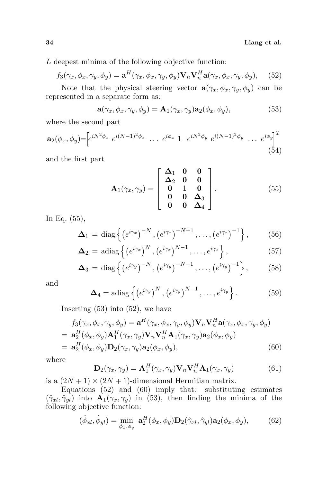L deepest minima of the following objective function:

$$
f_3(\gamma_x, \phi_x, \gamma_y, \phi_y) = \mathbf{a}^H(\gamma_x, \phi_x, \gamma_y, \phi_y) \mathbf{V}_n \mathbf{V}_n^H \mathbf{a}(\gamma_x, \phi_x, \gamma_y, \phi_y), \quad (52)
$$

Note that the physical steering vector  $\mathbf{a}(\gamma_x, \phi_x, \gamma_y, \phi_y)$  can be represented in a separate form as:

$$
\mathbf{a}(\gamma_x, \phi_x, \gamma_y, \phi_y) = \mathbf{A}_1(\gamma_x, \gamma_y) \mathbf{a}_2(\phi_x, \phi_y), \tag{53}
$$

where the second part

$$
\mathbf{a}_{2}(\phi_{x}, \phi_{y}) = \left[e^{iN^{2}\phi_{x}} e^{i(N-1)^{2}\phi_{x}} \cdots e^{i\phi_{x}} 1 e^{iN^{2}\phi_{y}} e^{i(N-1)^{2}\phi_{y}} \cdots e^{i\phi_{y}}\right]^{T}
$$
\n(54)

and the first part

$$
\mathbf{A}_{1}(\gamma_{x}, \gamma_{y}) = \begin{bmatrix} \Delta_{1} & 0 & 0 \\ \Delta_{2} & 0 & 0 \\ 0 & 1 & 0 \\ 0 & 0 & \Delta_{3} \\ 0 & 0 & \Delta_{4} \end{bmatrix}.
$$
 (55)

In Eq. (55),

$$
\mathbf{\Delta}_1 = \text{diag}\left\{ \left( e^{i\gamma_x} \right)^{-N}, \left( e^{i\gamma_x} \right)^{-N+1}, \dots, \left( e^{i\gamma_x} \right)^{-1} \right\},\tag{56}
$$

$$
\mathbf{\Delta}_2 = \text{adiag}\left\{ \left( e^{i\gamma_x} \right)^N, \left( e^{i\gamma_x} \right)^{N-1}, \dots, e^{i\gamma_x} \right\},\tag{57}
$$

$$
\mathbf{\Delta}_3 = \text{diag}\left\{ \left( e^{i\gamma_y} \right)^{-N}, \left( e^{i\gamma_y} \right)^{-N+1}, \dots, \left( e^{i\gamma_y} \right)^{-1} \right\},\tag{58}
$$

and

$$
\mathbf{\Delta}_4 = \text{adiag}\left\{ \left( e^{i\gamma_y} \right)^N, \left( e^{i\gamma_y} \right)^{N-1}, \dots, e^{i\gamma_y} \right\}. \tag{59}
$$

Inserting  $(53)$  into  $(52)$ , we have

$$
f_3(\gamma_x, \phi_x, \gamma_y, \phi_y) = \mathbf{a}^H(\gamma_x, \phi_x, \gamma_y, \phi_y) \mathbf{V}_n \mathbf{V}_n^H \mathbf{a}(\gamma_x, \phi_x, \gamma_y, \phi_y)
$$
  
=  $\mathbf{a}_2^H(\phi_x, \phi_y) \mathbf{A}_1^H(\gamma_x, \gamma_y) \mathbf{V}_n \mathbf{V}_n^H \mathbf{A}_1(\gamma_x, \gamma_y) \mathbf{a}_2(\phi_x, \phi_y)$   
=  $\mathbf{a}_2^H(\phi_x, \phi_y) \mathbf{D}_2(\gamma_x, \gamma_y) \mathbf{a}_2(\phi_x, \phi_y),$  (60)

where

$$
\mathbf{D}_2(\gamma_x, \gamma_y) = \mathbf{A}_1^H(\gamma_x, \gamma_y) \mathbf{V}_n \mathbf{V}_n^H \mathbf{A}_1(\gamma_x, \gamma_y)
$$
(61)

is a  $(2N + 1) \times (2N + 1)$ -dimensional Hermitian matrix.

Equations  $(52)$  and  $(60)$  imply that: substituting estimates  $(\hat{\gamma}_{xl}, \hat{\gamma}_{yl})$  into  $\mathbf{A}_1(\hat{\gamma}_x, \gamma_y)$  in (53), then finding the minima of the following objective function:

$$
(\hat{\phi}_{xl}, \hat{\phi}_{yl}) = \min_{\phi_x, \phi_y} \mathbf{a}_2^H(\phi_x, \phi_y) \mathbf{D}_2(\hat{\gamma}_{xl}, \hat{\gamma}_{yl}) \mathbf{a}_2(\phi_x, \phi_y), \tag{62}
$$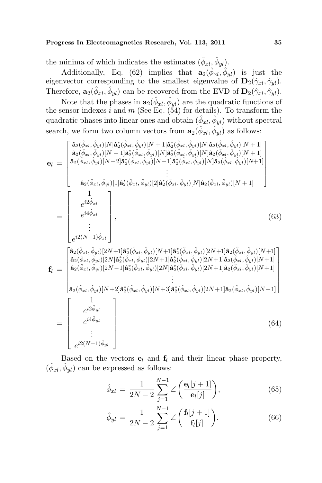#### Progress In Electromagnetics Research, Vol. 113, 2011 35

the minima of which indicates the estimates  $(\hat{\phi}_{xl}, \hat{\phi}_{yl})$ .

Additionally, Eq. (62) implies that  $\mathbf{a}_2(\hat{\phi}_{xl}, \hat{\phi}_{yl})$  is just the eigenvector corresponding to the smallest eigenvalue of  $\mathbf{D}_2(\hat{\gamma}_{xl}, \hat{\gamma}_{yl})$ . Therefore,  $\mathbf{a}_2(\hat{\phi}_{xl}, \hat{\phi}_{yl})$  can be recovered from the EVD of  $\mathbf{D}_2(\hat{\gamma}_{xl}, \hat{\gamma}_{yl})$ .

Note that the phases in  $\mathbf{a}_2(\hat{\phi}_{xl}, \hat{\phi}_{yl})$  are the quadratic functions of the sensor indexes i and m (See Eq.  $(54)$  for details). To transform the quadratic phases into linear ones and obtain  $(\hat{\phi}_{xl}, \hat{\phi}_{yl})$  without spectral search, we form two column vectors from  $\mathbf{a}_2(\hat{\phi}_{xl}, \hat{\phi}_{yl})$  as follows:

$$
\mathbf{e}_{l} = \begin{bmatrix}\n\hat{\mathbf{a}}_{2}(\hat{\phi}_{xl}, \hat{\phi}_{yl})[N]\hat{\mathbf{a}}_{2}^{*}(\hat{\phi}_{xl}, \hat{\phi}_{yl})[N+1]\hat{\mathbf{a}}_{2}^{*}(\hat{\phi}_{xl}, \hat{\phi}_{yl})[N]\hat{\mathbf{a}}_{2}(\hat{\phi}_{xl}, \hat{\phi}_{yl})[N+1] \\
\hat{\mathbf{a}}_{2}(\hat{\phi}_{xl}, \hat{\phi}_{yl})[N-1]\hat{\mathbf{a}}_{2}^{*}(\hat{\phi}_{xl}, \hat{\phi}_{yl})[N]\hat{\mathbf{a}}_{2}(\hat{\phi}_{xl}, \hat{\phi}_{yl})[N]\hat{\mathbf{a}}_{2}(\hat{\phi}_{xl}, \hat{\phi}_{yl})[N+1] \\
\hat{\mathbf{a}}_{2}(\hat{\phi}_{xl}, \hat{\phi}_{yl})[N-2]\hat{\mathbf{a}}_{2}^{*}(\hat{\phi}_{xl}, \hat{\phi}_{yl})[N-1]\hat{\mathbf{a}}_{2}^{*}(\hat{\phi}_{xl}, \hat{\phi}_{yl})[N]\hat{\mathbf{a}}_{2}(\hat{\phi}_{xl}, \hat{\phi}_{yl})[N+1] \\
\vdots \\
\hat{\mathbf{a}}_{2}(\hat{\phi}_{xl}, \hat{\phi}_{yl})[1]\hat{\mathbf{a}}_{2}^{*}(\hat{\phi}_{xl}, \hat{\phi}_{yl})[2]\hat{\mathbf{a}}_{2}^{*}(\hat{\phi}_{xl}, \hat{\phi}_{yl})[N]\hat{\mathbf{a}}_{2}(\hat{\phi}_{xl}, \hat{\phi}_{yl})[N+1] \\
\vdots \\
e^{i2\hat{\phi}_{xl}} \\
e^{i4\hat{\phi}_{xl}} \\
\vdots \\
e^{i2(N-1)\hat{\phi}_{xl}}\n\end{bmatrix}, \qquad (63)
$$
\n
$$
\left.\begin{bmatrix}\n\hat{\mathbf{a}}_{2}(\hat{\phi}_{xl}, \hat{\phi}_{yl})[2N+1]\hat{\mathbf{a}}_{2}^{*}(\hat{\phi}_{xl}, \hat{\phi}_{yl})[2N+1]\hat{\mathbf{a}}_{2}^{*}(\hat{\phi}_{xl}, \hat{\phi}_{yl})[2N+1]\hat{\mathbf{a}}_{2}(\hat{\phi}_{xl}, \hat{\phi}_{yl})[N+1] \\
\vdots \\
\hat{\mathbf{a}}_{2}(\hat{\phi}_{xl}, \hat{\phi}_{yl})[2N-1
$$

Based on the vectors  $e_l$  and  $f_l$  and their linear phase property,  $(\hat{\phi}_{xl}, \hat{\phi}_{yl})$  can be expressed as follows:

$$
\hat{\phi}_{xl} = \frac{1}{2N - 2} \sum_{j=1}^{N-1} \angle \left( \frac{\mathbf{e}_l[j+1]}{\mathbf{e}_l[j]} \right),\tag{65}
$$

$$
\hat{\phi}_{yl} = \frac{1}{2N - 2} \sum_{j=1}^{N-1} \angle \left( \frac{\mathbf{f}_l[j+1]}{\mathbf{f}_l[j]} \right). \tag{66}
$$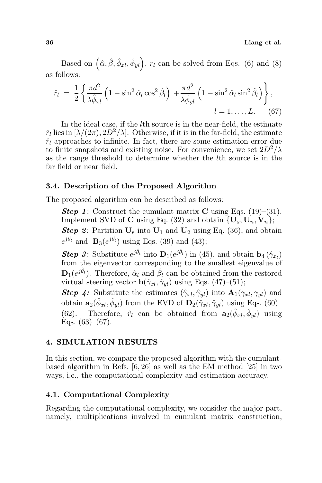Based on  $(\hat{\alpha}, \hat{\beta}, \hat{\phi}_{xl}, \hat{\phi}_{yl}), r_l$  can be solved from Eqs. (6) and (8) as follows:  $\mathbf{r}$ 

$$
\hat{r}_l = \frac{1}{2} \left\{ \frac{\pi d^2}{\lambda \hat{\phi}_{xl}} \left( 1 - \sin^2 \hat{\alpha}_l \cos^2 \hat{\beta}_l \right) + \frac{\pi d^2}{\lambda \hat{\phi}_{yl}} \left( 1 - \sin^2 \hat{\alpha}_l \sin^2 \hat{\beta}_l \right) \right\},
$$
  

$$
l = 1, \dots, L.
$$
 (67)

In the ideal case, if the lth source is in the near-field, the estimate  $\hat{r}_l$  lies in  $[\lambda/(2\pi), 2D^2/\lambda]$ . Otherwise, if it is in the far-field, the estimate  $\hat{r}_l$  approaches to infinite. In fact, there are some estimation error due to finite snapshots and existing noise. For convenience, we set  $2D^2/\lambda$ as the range threshold to determine whether the lth source is in the far field or near field.

#### 3.4. Description of the Proposed Algorithm

The proposed algorithm can be described as follows:

**Step 1:** Construct the cumulant matrix **C** using Eqs. (19)–(31). Implement SVD of C using Eq. (32) and obtain  $\{U_s, U_n, V_n\};$ **Step 2:** Partition  $U_s$  into  $U_1$  and  $U_2$  using Eq. (36), and obtain  $e^{j\hat{\theta}_l}$  and  $\mathbf{B}_3(e^{j\hat{\theta}_l})$  using Eqs. (39) and (43);

**Step 3:** Substitute  $e^{j\hat{\theta}_l}$  into  $\mathbf{D}_1(e^{j\hat{\theta}_l})$  in (45), and obtain  $\mathbf{b}_4(\hat{\gamma}_{x_l})$ from the eigenvector corresponding to the smallest eigenvalue of  $\mathbf{D}_1(e^{j\hat{\theta}_l})$ . Therefore,  $\hat{\alpha}_l$  and  $\hat{\beta}_l$  can be obtained from the restored virtual steering vector  $\mathbf{b}(\hat{\gamma}_{xl}, \hat{\gamma}_{yl})$  using Eqs. (47)–(51);

**Step 4:** Substitute the estimates  $(\hat{\gamma}_{xl}, \hat{\gamma}_{yl})$  into  $\mathbf{A}_1(\gamma_{xl}, \gamma_{yl})$  and obtain  $\mathbf{a}_2(\hat{\phi}_{xl}, \hat{\phi}_{yl})$  from the EVD of  $\mathbf{D}_2(\hat{\gamma}_{xl}, \hat{\gamma}_{yl})$  using Eqs. (60)– (62). Therefore,  $\hat{r}_l$  can be obtained from  $\mathbf{a}_2(\hat{\phi}_{xl}, \hat{\phi}_{yl})$  using Eqs.  $(63)–(67)$ .

#### 4. SIMULATION RESULTS

In this section, we compare the proposed algorithm with the cumulantbased algorithm in Refs. [6, 26] as well as the EM method [25] in two ways, i.e., the computational complexity and estimation accuracy.

### 4.1. Computational Complexity

Regarding the computational complexity, we consider the major part, namely, multiplications involved in cumulant matrix construction,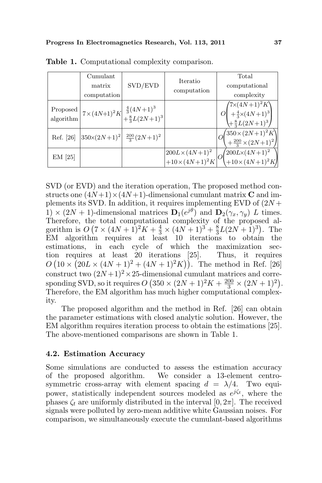|                       | Cumulant<br>matrix<br>computation                         | SVD/EVD                                                                                      | Iteratio<br>computation                             | Total<br>computational<br>complexity                                                                   |
|-----------------------|-----------------------------------------------------------|----------------------------------------------------------------------------------------------|-----------------------------------------------------|--------------------------------------------------------------------------------------------------------|
| Proposed<br>algorithm |                                                           | $\left 7\times(4N+1)^2K\right _{}^{}\frac{\frac{4}{3}(4N+1)^3}{\frac{8}{3}L(2N+1)^3}\right $ |                                                     | $O\begin{pmatrix}7{\times}(4N+1)^2K\\+\frac{4}{3}{\times}(4N+1)^3\\+\frac{8}{3}L(2N+1)^3\end{pmatrix}$ |
| Ref. [26]             | $\left 350 \times (2N+1)^2\right  \frac{200}{3} (2N+1)^2$ |                                                                                              |                                                     | $\begin{pmatrix} 350 \times (2N+1)^2 K \\ +\frac{200}{3} \times (2N+1)^2 \end{pmatrix}$                |
| $EM$ [25]             |                                                           |                                                                                              | $200L \times (4N+1)^2$<br>+10×(4N+1) <sup>2</sup> K | $\left( \frac{200L \times (4N+1)^2}{+10 \times (4N+1)^2 K} \right)$                                    |

Table 1. Computational complexity comparison.

SVD (or EVD) and the iteration operation, The proposed method constructs one  $(4N+1) \times (4N+1)$ -dimensional cumulant matrix C and implements its SVD. In addition, it requires implementing EVD of  $(2N +$  $1) \times (2N + 1)$ -dimensional matrices  $\mathbf{D}_1(e^{j\theta})$  and  $\mathbf{D}_2(\gamma_x, \gamma_y)$  L times. Therefore, the total computational complexity of the proposed algorithm is  $O(7 \times (4N+1)^2 K + \frac{4}{3} \times (4N+1)^3 + \frac{8}{3}$  $\frac{8}{3}L(2N+1)^3$ ). The EM algorithm requires at least 10 iterations to obtain the estimations, in each cycle of which the maximization section requires at least 20 iterations [25]. Thus, it requires tion requires at least 20 iterations [25]. Thus, it requires<br> $O(10 \times (20L \times (4N+1)^2 + (4N+1)^2K))$ . The method in Ref. [26] construct two  $(2N+1)^2 \times 25$ -dimensional cumulant matrices and corresponding SVD, so it requires  $O$ mensional cumulant matrices and corre-<br>  $(350 \times (2N+1)^2 K + \frac{200}{3} \times (2N+1)^2)$ . Therefore, the EM algorithm has much higher computational complexity.

The proposed algorithm and the method in Ref. [26] can obtain the parameter estimations with closed analytic solution. However, the EM algorithm requires iteration process to obtain the estimations [25]. The above-mentioned comparisons are shown in Table 1.

### 4.2. Estimation Accuracy

Some simulations are conducted to assess the estimation accuracy of the proposed algorithm. We consider a 13-element centrosymmetric cross-array with element spacing  $d = \lambda/4$ . Two equipower, statistically independent sources modeled as  $e^{i\zeta t}$ , where the phases  $\zeta_t$  are uniformly distributed in the interval [0,  $2\pi$ ]. The received signals were polluted by zero-mean additive white Gaussian noises. For comparison, we simultaneously execute the cumulant-based algorithms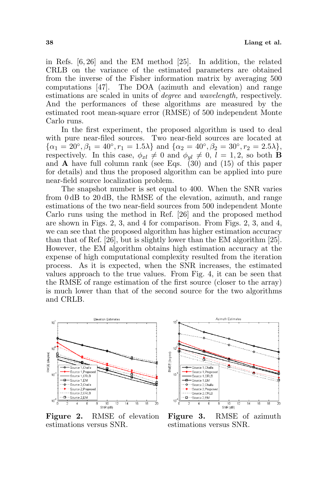in Refs. [6, 26] and the EM method [25]. In addition, the related CRLB on the variance of the estimated parameters are obtained from the inverse of the Fisher information matrix by averaging 500 computations [47]. The DOA (azimuth and elevation) and range estimations are scaled in units of degree and wavelength, respectively. And the performances of these algorithms are measured by the estimated root mean-square error (RMSE) of 500 independent Monte Carlo runs.

In the first experiment, the proposed algorithm is used to deal with pure near-filed sources. Two near-field sources are located at  $\{\alpha_1 = 20^\circ, \beta_1 = 40^\circ, r_1 = 1.5\lambda\}$  and  $\{\alpha_2 = 40^\circ, \beta_2 = 30^\circ, r_2 = 2.5\lambda\},$ respectively. In this case,  $\phi_{xl} \neq 0$  and  $\phi_{vl} \neq 0$ ,  $l = 1, 2$ , so both **B** and **A** have full column rank (see Eqs.  $(30)$  and  $(15)$  of this paper for details) and thus the proposed algorithm can be applied into pure near-field source localization problem.

The snapshot number is set equal to 400. When the SNR varies from 0 dB to 20 dB, the RMSE of the elevation, azimuth, and range estimations of the two near-field sources from 500 independent Monte Carlo runs using the method in Ref. [26] and the proposed method are shown in Figs. 2, 3, and 4 for comparison. From Figs. 2, 3, and 4, we can see that the proposed algorithm has higher estimation accuracy than that of Ref. [26], but is slightly lower than the EM algorithm [25]. However, the EM algorithm obtains high estimation accuracy at the expense of high computational complexity resulted from the iteration process. As it is expected, when the SNR increases, the estimated values approach to the true values. From Fig. 4, it can be seen that the RMSE of range estimation of the first source (closer to the array) is much lower than that of the second source for the two algorithms and CRLB.



Figure 2. RMSE of elevation estimations versus SNR.



Figure 3. RMSE of azimuth estimations versus SNR.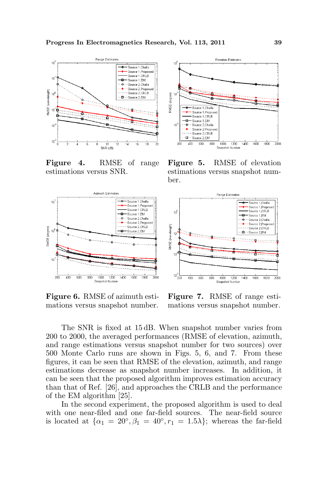

Figure 4. RMSE of range estimations versus SNR.



Figure 6. RMSE of azimuth estimations versus snapshot number.



Figure 5. RMSE of elevation estimations versus snapshot number.



Figure 7. RMSE of range estimations versus snapshot number.

The SNR is fixed at 15 dB. When snapshot number varies from 200 to 2000, the averaged performances (RMSE of elevation, azimuth, and range estimations versus snapshot number for two sources) over 500 Monte Carlo runs are shown in Figs. 5, 6, and 7. From these figures, it can be seen that RMSE of the elevation, azimuth, and range estimations decrease as snapshot number increases. In addition, it can be seen that the proposed algorithm improves estimation accuracy than that of Ref. [26], and approaches the CRLB and the performance of the EM algorithm [25].

In the second experiment, the proposed algorithm is used to deal with one near-filed and one far-field sources. The near-field source is located at  $\{\alpha_1 = 20^\circ, \beta_1 = 40^\circ, r_1 = 1.5\lambda\};$  whereas the far-field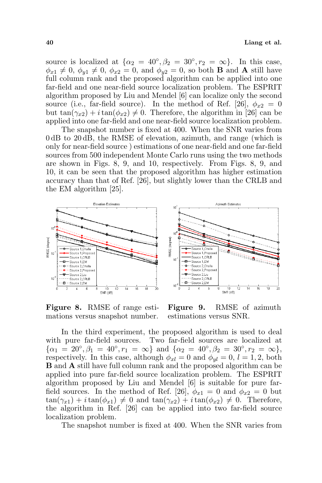source is localized at  $\{\alpha_2 = 40^\circ, \beta_2 = 30^\circ, r_2 = \infty\}$ . In this case,  $\phi_{x1} \neq 0$ ,  $\phi_{y1} \neq 0$ ,  $\phi_{x2} = 0$ , and  $\phi_{y2} = 0$ , so both **B** and **A** still have full column rank and the proposed algorithm can be applied into one far-field and one near-field source localization problem. The ESPRIT algorithm proposed by Liu and Mendel [6] can localize only the second source (i.e., far-field source). In the method of Ref. [26],  $\phi_{x2} = 0$ but  $\tan(\gamma_{x2}) + i \tan(\phi_{x2}) \neq 0$ . Therefore, the algorithm in [26] can be applied into one far-field and one near-field source localization problem.

The snapshot number is fixed at 400. When the SNR varies from 0 dB to 20 dB, the RMSE of elevation, azimuth, and range (which is only for near-field source ) estimations of one near-field and one far-field sources from 500 independent Monte Carlo runs using the two methods are shown in Figs. 8, 9, and 10, respectively. From Figs. 8, 9, and 10, it can be seen that the proposed algorithm has higher estimation accuracy than that of Ref. [26], but slightly lower than the CRLB and the EM algorithm [25].



Figure 8. RMSE of range estimations versus snapshot number.

Figure 9. RMSE of azimuth estimations versus SNR.

In the third experiment, the proposed algorithm is used to deal with pure far-field sources. Two far-field sources are localized at  $\{\alpha_1 = 20^\circ, \beta_1 = 40^\circ, r_1 = \infty\}$  and  $\{\alpha_2 = 40^\circ, \beta_2 = 30^\circ, r_2 = \infty\},$ respectively. In this case, although  $\phi_{xl} = 0$  and  $\phi_{vl} = 0$ ,  $l = 1, 2$ , both B and A still have full column rank and the proposed algorithm can be applied into pure far-field source localization problem. The ESPRIT algorithm proposed by Liu and Mendel [6] is suitable for pure farfield sources. In the method of Ref. [26],  $\phi_{x1} = 0$  and  $\phi_{x2} = 0$  but  $\tan(\gamma_{x1}) + i \tan(\phi_{x1}) \neq 0$  and  $\tan(\gamma_{x2}) + i \tan(\phi_{x2}) \neq 0$ . Therefore, the algorithm in Ref. [26] can be applied into two far-field source localization problem.

The snapshot number is fixed at 400. When the SNR varies from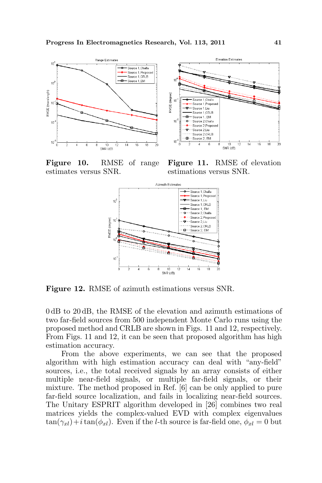

Figure 10. RMSE of range estimates versus SNR.



Figure 11. RMSE of elevation estimations versus SNR.



Figure 12. RMSE of azimuth estimations versus SNR.

0 dB to 20 dB, the RMSE of the elevation and azimuth estimations of two far-field sources from 500 independent Monte Carlo runs using the proposed method and CRLB are shown in Figs. 11 and 12, respectively. From Figs. 11 and 12, it can be seen that proposed algorithm has high estimation accuracy.

From the above experiments, we can see that the proposed algorithm with high estimation accuracy can deal with "any-field" sources, i.e., the total received signals by an array consists of either multiple near-field signals, or multiple far-field signals, or their mixture. The method proposed in Ref. [6] can be only applied to pure far-field source localization, and fails in localizing near-field sources. The Unitary ESPRIT algorithm developed in [26] combines two real matrices yields the complex-valued EVD with complex eigenvalues  $\tan(\gamma_{xl})+i\tan(\phi_{xl})$ . Even if the *l*-th source is far-field one,  $\phi_{xl} = 0$  but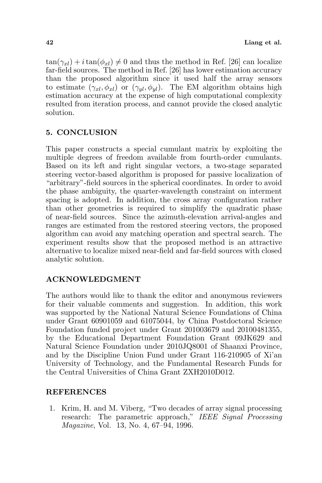$\tan(\gamma_{xl}) + i \tan(\phi_{xl}) \neq 0$  and thus the method in Ref. [26] can localize far-field sources. The method in Ref. [26] has lower estimation accuracy than the proposed algorithm since it used half the array sensors to estimate  $(\gamma_{xl}, \phi_{xl})$  or  $(\gamma_{vl}, \phi_{vl})$ . The EM algorithm obtains high estimation accuracy at the expense of high computational complexity resulted from iteration process, and cannot provide the closed analytic solution.

### 5. CONCLUSION

This paper constructs a special cumulant matrix by exploiting the multiple degrees of freedom available from fourth-order cumulants. Based on its left and right singular vectors, a two-stage separated steering vector-based algorithm is proposed for passive localization of "arbitrary"-field sources in the spherical coordinates. In order to avoid the phase ambiguity, the quarter-wavelength constraint on interment spacing is adopted. In addition, the cross array configuration rather than other geometries is required to simplify the quadratic phase of near-field sources. Since the azimuth-elevation arrival-angles and ranges are estimated from the restored steering vectors, the proposed algorithm can avoid any matching operation and spectral search. The experiment results show that the proposed method is an attractive alternative to localize mixed near-field and far-field sources with closed analytic solution.

### ACKNOWLEDGMENT

The authors would like to thank the editor and anonymous reviewers for their valuable comments and suggestion. In addition, this work was supported by the National Natural Science Foundations of China under Grant 60901059 and 61075044, by China Postdoctoral Science Foundation funded project under Grant 201003679 and 20100481355, by the Educational Department Foundation Grant 09JK629 and Natural Science Foundation under 2010JQ8001 of Shaanxi Province, and by the Discipline Union Fund under Grant 116-210905 of Xi'an University of Technology, and the Fundamental Research Funds for the Central Universities of China Grant ZXH2010D012.

### REFERENCES

1. Krim, H. and M. Viberg, "Two decades of array signal processing research: The parametric approach," IEEE Signal Processing Magazine, Vol. 13, No. 4, 67–94, 1996.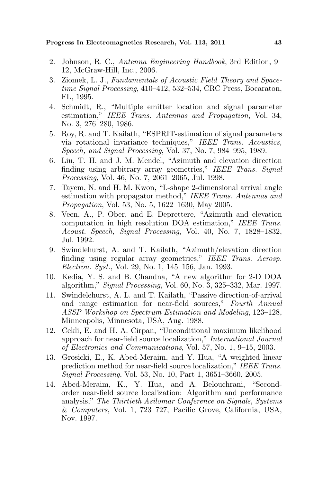Progress In Electromagnetics Research, Vol. 113, 2011 43

- 2. Johnson, R. C., Antenna Engineering Handbook, 3rd Edition, 9– 12, McGraw-Hill, Inc., 2006.
- 3. Ziomek, L. J., Fundamentals of Acoustic Field Theory and Spacetime Signal Processing, 410–412, 532–534, CRC Press, Bocaraton, FL, 1995.
- 4. Schmidt, R., "Multiple emitter location and signal parameter estimation," IEEE Trans. Antennas and Propagation, Vol. 34, No. 3, 276–280, 1986.
- 5. Roy, R. and T. Kailath, "ESPRIT-estimation of signal parameters via rotational invariance techniques," IEEE Trans. Acoustics, Speech, and Signal Processing, Vol. 37, No. 7, 984–995, 1989.
- 6. Liu, T. H. and J. M. Mendel, "Azimuth and elevation direction finding using arbitrary array geometries," IEEE Trans. Signal Processing, Vol. 46, No. 7, 2061–2065, Jul. 1998.
- 7. Tayem, N. and H. M. Kwon, "L-shape 2-dimensional arrival angle estimation with propagator method," IEEE Trans. Antennas and Propagation, Vol. 53, No. 5, 1622–1630, May 2005.
- 8. Veen, A., P. Ober, and E. Deprettere, "Azimuth and elevation computation in high resolution DOA estimation," IEEE Trans. Acoust. Speech, Signal Processing, Vol. 40, No. 7, 1828–1832, Jul. 1992.
- 9. Swindlehurst, A. and T. Kailath, "Azimuth/elevation direction finding using regular array geometries," IEEE Trans. Aerosp. Electron. Syst., Vol. 29, No. 1, 145–156, Jan. 1993.
- 10. Kedia, Y. S. and B. Chandna, "A new algorithm for 2-D DOA algorithm," Signal Processing, Vol. 60, No. 3, 325–332, Mar. 1997.
- 11. Swindelehurst, A. L. and T. Kailath, "Passive direction-of-arrival and range estimation for near-field sources," Fourth Annual ASSP Workshop on Spectrum Estimation and Modeling, 123–128, Minneapolis, Minnesota, USA, Aug. 1988.
- 12. Cekli, E. and H. A. Cirpan, "Unconditional maximum likelihood approach for near-field source localization," International Journal of Electronics and Communications, Vol. 57, No. 1, 9–15, 2003.
- 13. Grosicki, E., K. Abed-Meraim, and Y. Hua, "A weighted linear prediction method for near-field source localization," IEEE Trans. Signal Processing, Vol. 53, No. 10, Part 1, 3651–3660, 2005.
- 14. Abed-Meraim, K., Y. Hua, and A. Belouchrani, "Secondorder near-field source localization: Algorithm and performance analysis," The Thirtieth Asilomar Conference on Signals, Systems & Computers, Vol. 1, 723–727, Pacific Grove, California, USA, Nov. 1997.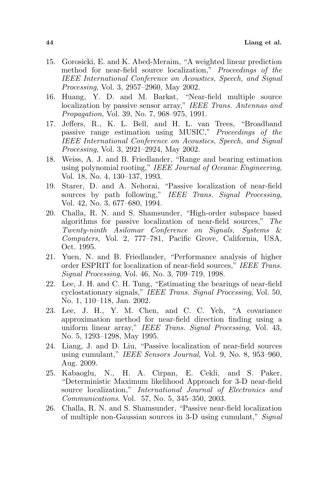- 15. Gorosicki, E. and K. Abed-Meraim, "A weighted linear prediction method for near-field source localization," Proceedings of the IEEE International Conference on Acoustics, Speech, and Signal Processing, Vol. 3, 2957–2960, May 2002.
- 16. Huang, Y. D. and M. Barkat, "Near-field multiple source localization by passive sensor array," IEEE Trans. Antennas and Propagation, Vol. 39, No. 7, 968–975, 1991.
- 17. Jeffers, R., K. L. Bell, and H. L. van Trees, "Broadband passive range estimation using MUSIC," Proceedings of the IEEE International Conference on Acoustics, Speech, and Signal Processing, Vol. 3, 2921–2924, May 2002.
- 18. Weiss, A. J. and B. Friedlander, "Range and bearing estimation using polynomial rooting," IEEE Journal of Oceanic Engineering, Vol. 18, No. 4, 130–137, 1993.
- 19. Starer, D. and A. Nehorai, "Passive localization of near-field sources by path following," IEEE Trans. Signal Processing, Vol. 42, No. 3, 677–680, 1994.
- 20. Challa, R. N. and S. Shamsunder, "High-order subspace based algorithms for passive localization of near-field sources," The Twenty-ninth Asilomar Conference on Signals, Systems & Computers, Vol. 2, 777–781, Pacific Grove, California, USA, Oct. 1995.
- 21. Yuen, N. and B. Friedlander, "Performance analysis of higher order ESPRIT for localization of near-field sources," IEEE Trans. Signal Processing, Vol. 46, No. 3, 709–719, 1998.
- 22. Lee, J. H. and C. H. Tung, "Estimating the bearings of near-field cyclostationary signals," IEEE Trans. Signal Processing, Vol. 50, No. 1, 110–118, Jan. 2002.
- 23. Lee, J. H., Y. M. Chen, and C. C. Yeh, "A covariance approximation method for near-field direction finding using a uniform linear array," IEEE Trans. Signal Processing, Vol. 43, No. 5, 1293–1298, May 1995.
- 24. Liang, J. and D. Liu, "Passive localization of near-field sources using cumulant," IEEE Sensors Journal, Vol. 9, No. 8, 953–960, Aug. 2009.
- 25. Kabaoglu, N., H. A. Cirpan, E. Cekli, and S. Paker, "Deterministic Maximum likelihood Approach for 3-D near-field source localization," International Journal of Electronics and Communications. Vol. 57, No. 5, 345–350, 2003.
- 26. Challa, R. N. and S. Shamsunder, "Passive near-field localization of multiple non-Gaussian sources in 3-D using cumulant," Signal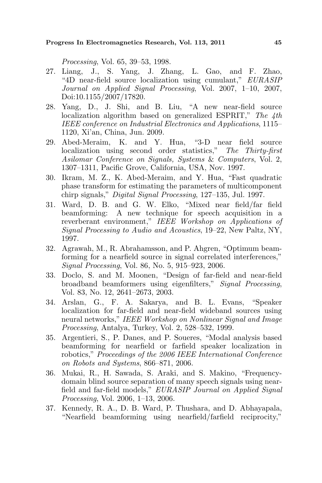Processing, Vol. 65, 39–53, 1998.

- 27. Liang, J., S. Yang, J. Zhang, L. Gao, and F. Zhao, "4D near-field source localization using cumulant," EURASIP Journal on Applied Signal Processing, Vol. 2007, 1–10, 2007, Doi:10.1155/2007/17820.
- 28. Yang, D., J. Shi, and B. Liu, "A new near-field source localization algorithm based on generalized ESPRIT," The 4th IEEE conference on Industrial Electronics and Applications, 1115– 1120, Xi'an, China, Jun. 2009.
- 29. Abed-Meraim, K. and Y. Hua, "3-D near field source localization using second order statistics," The Thirty-first Asilomar Conference on Signals, Systems & Computers, Vol. 2, 1307–1311, Pacific Grove, California, USA, Nov. 1997.
- 30. Ikram, M. Z., K. Abed-Meraim, and Y. Hua, "Fast quadratic phase transform for estimating the parameters of multicomponent chirp signals," Digital Signal Processing, 127–135, Jul. 1997.
- 31. Ward, D. B. and G. W. Elko, "Mixed near field/far field beamforming: A new technique for speech acquisition in a reverberant environment," IEEE Workshop on Applications of Signal Processing to Audio and Acoustics, 19–22, New Paltz, NY, 1997.
- 32. Agrawah, M., R. Abrahamsson, and P. Ahgren, "Optimum beamforming for a nearfield source in signal correlated interferences," Signal Processing, Vol. 86, No. 5, 915–923, 2006.
- 33. Doclo, S. and M. Moonen, "Design of far-field and near-field broadband beamformers using eigenfilters," Signal Processing, Vol. 83, No. 12, 2641–2673, 2003.
- 34. Arslan, G., F. A. Sakarya, and B. L. Evans, "Speaker localization for far-field and near-field wideband sources using neural networks," IEEE Workshop on Nonlinear Signal and Image Processing, Antalya, Turkey, Vol. 2, 528–532, 1999.
- 35. Argentieri, S., P. Danes, and P. Soueres, "Modal analysis based beamforming for nearfield or farfield speaker localization in robotics," Proceedings of the 2006 IEEE International Conference on Robots and Systems, 866–871, 2006.
- 36. Mukai, R., H. Sawada, S. Araki, and S. Makino, "Frequencydomain blind source separation of many speech signals using nearfield and far-field models," EURASIP Journal on Applied Signal Processing, Vol. 2006, 1–13, 2006.
- 37. Kennedy, R. A., D. B. Ward, P. Thushara, and D. Abhayapala, "Nearfield beamforming using nearfield/farfield reciprocity,"